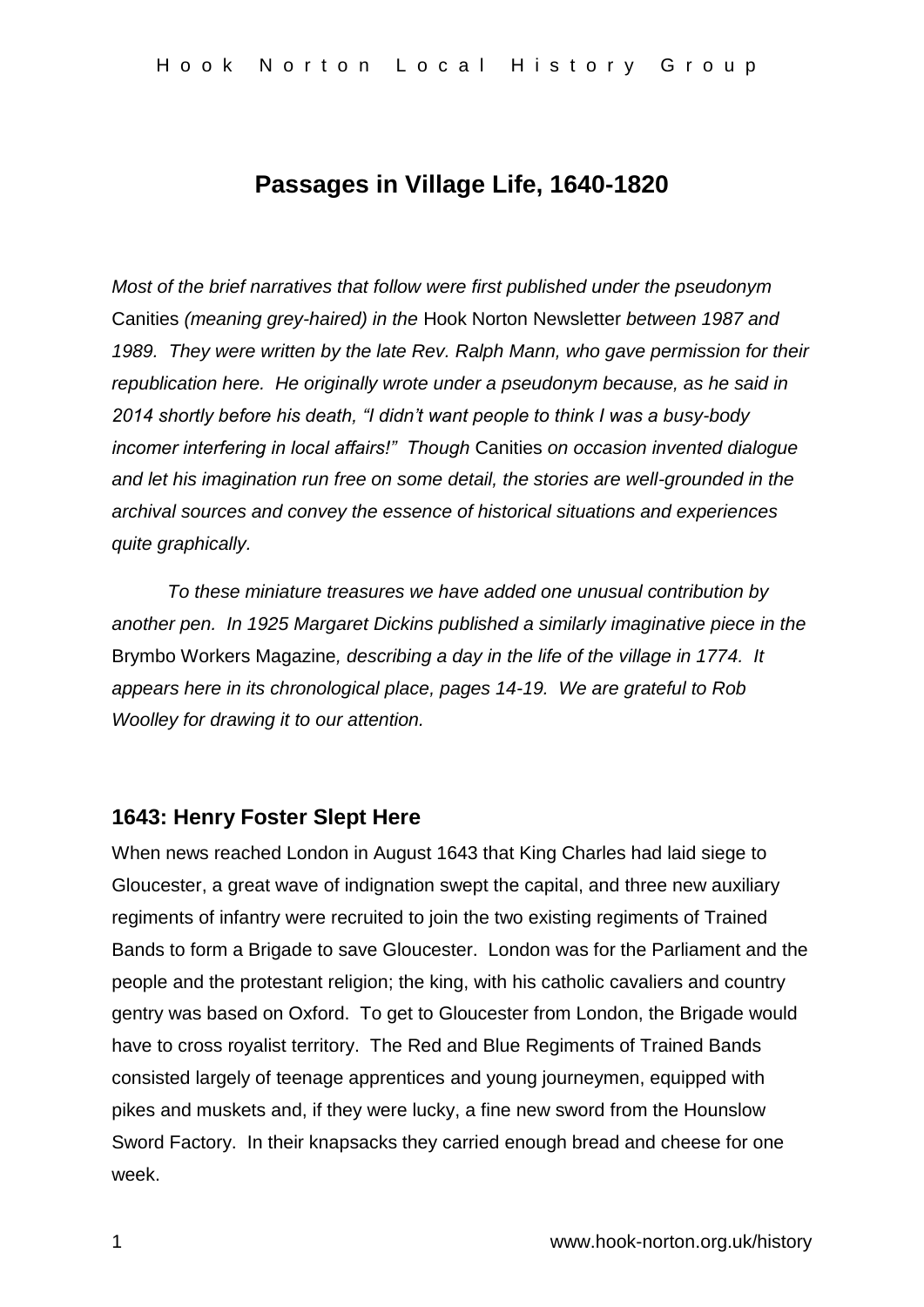# **Passages in Village Life, 1640-1820**

*Most of the brief narratives that follow were first published under the pseudonym*  Canities *(meaning grey-haired) in the* Hook Norton Newsletter *between 1987 and 1989. They were written by the late Rev. Ralph Mann, who gave permission for their republication here. He originally wrote under a pseudonym because, as he said in 2014 shortly before his death, "I didn't want people to think I was a busy-body incomer interfering in local affairs!" Though* Canities *on occasion invented dialogue and let his imagination run free on some detail, the stories are well-grounded in the archival sources and convey the essence of historical situations and experiences quite graphically.*

*To these miniature treasures we have added one unusual contribution by another pen. In 1925 Margaret Dickins published a similarly imaginative piece in the*  Brymbo Workers Magazine*, describing a day in the life of the village in 1774. It appears here in its chronological place, pages 14-19. We are grateful to Rob Woolley for drawing it to our attention.*

### **1643: Henry Foster Slept Here**

When news reached London in August 1643 that King Charles had laid siege to Gloucester, a great wave of indignation swept the capital, and three new auxiliary regiments of infantry were recruited to join the two existing regiments of Trained Bands to form a Brigade to save Gloucester. London was for the Parliament and the people and the protestant religion; the king, with his catholic cavaliers and country gentry was based on Oxford. To get to Gloucester from London, the Brigade would have to cross royalist territory. The Red and Blue Regiments of Trained Bands consisted largely of teenage apprentices and young journeymen, equipped with pikes and muskets and, if they were lucky, a fine new sword from the Hounslow Sword Factory. In their knapsacks they carried enough bread and cheese for one week.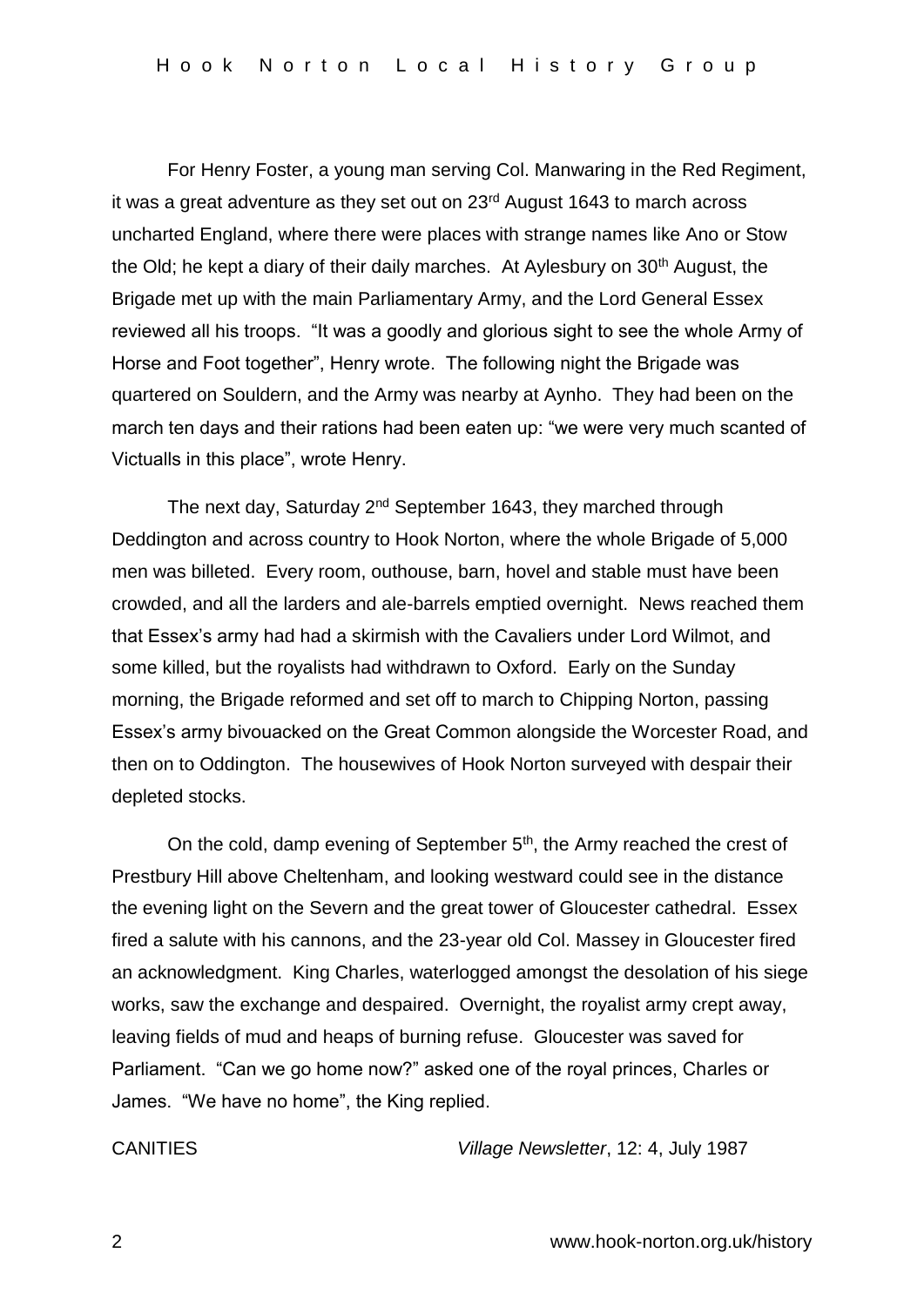For Henry Foster, a young man serving Col. Manwaring in the Red Regiment, it was a great adventure as they set out on  $23<sup>rd</sup>$  August 1643 to march across uncharted England, where there were places with strange names like Ano or Stow the Old; he kept a diary of their daily marches. At Aylesbury on  $30<sup>th</sup>$  August, the Brigade met up with the main Parliamentary Army, and the Lord General Essex reviewed all his troops. "It was a goodly and glorious sight to see the whole Army of Horse and Foot together", Henry wrote. The following night the Brigade was quartered on Souldern, and the Army was nearby at Aynho. They had been on the march ten days and their rations had been eaten up: "we were very much scanted of Victualls in this place", wrote Henry.

The next day, Saturday 2<sup>nd</sup> September 1643, they marched through Deddington and across country to Hook Norton, where the whole Brigade of 5,000 men was billeted. Every room, outhouse, barn, hovel and stable must have been crowded, and all the larders and ale-barrels emptied overnight. News reached them that Essex's army had had a skirmish with the Cavaliers under Lord Wilmot, and some killed, but the royalists had withdrawn to Oxford. Early on the Sunday morning, the Brigade reformed and set off to march to Chipping Norton, passing Essex's army bivouacked on the Great Common alongside the Worcester Road, and then on to Oddington. The housewives of Hook Norton surveyed with despair their depleted stocks.

On the cold, damp evening of September 5<sup>th</sup>, the Army reached the crest of Prestbury Hill above Cheltenham, and looking westward could see in the distance the evening light on the Severn and the great tower of Gloucester cathedral. Essex fired a salute with his cannons, and the 23-year old Col. Massey in Gloucester fired an acknowledgment. King Charles, waterlogged amongst the desolation of his siege works, saw the exchange and despaired. Overnight, the royalist army crept away, leaving fields of mud and heaps of burning refuse. Gloucester was saved for Parliament. "Can we go home now?" asked one of the royal princes, Charles or James. "We have no home", the King replied.

CANITIES *Village Newsletter*, 12: 4, July 1987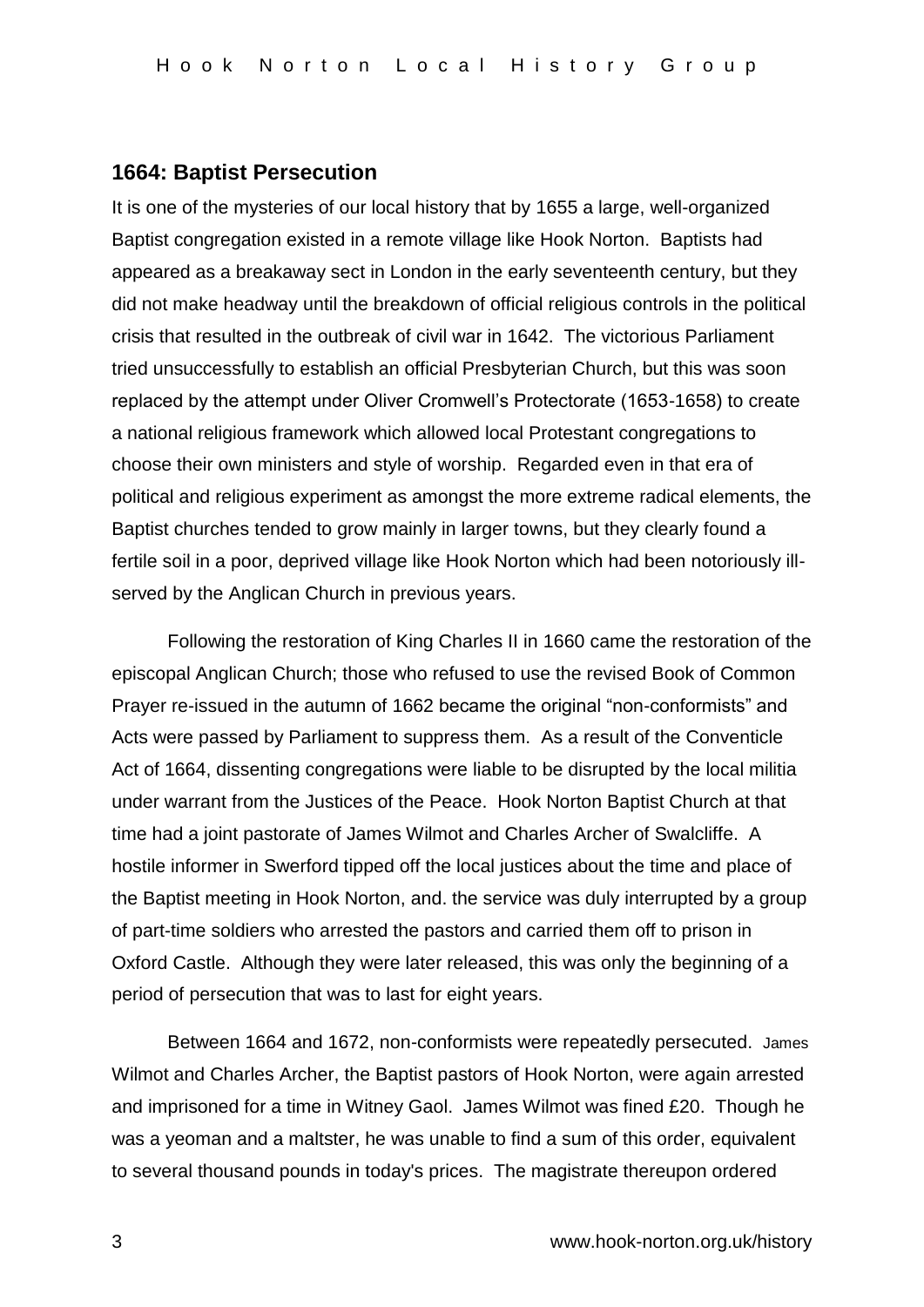### **1664: Baptist Persecution**

It is one of the mysteries of our local history that by 1655 a large, well-organized Baptist congregation existed in a remote village like Hook Norton. Baptists had appeared as a breakaway sect in London in the early seventeenth century, but they did not make headway until the breakdown of official religious controls in the political crisis that resulted in the outbreak of civil war in 1642. The victorious Parliament tried unsuccessfully to establish an official Presbyterian Church, but this was soon replaced by the attempt under Oliver Cromwell's Protectorate (1653-1658) to create a national religious framework which allowed local Protestant congregations to choose their own ministers and style of worship. Regarded even in that era of political and religious experiment as amongst the more extreme radical elements, the Baptist churches tended to grow mainly in larger towns, but they clearly found a fertile soil in a poor, deprived village like Hook Norton which had been notoriously illserved by the Anglican Church in previous years.

Following the restoration of King Charles II in 1660 came the restoration of the episcopal Anglican Church; those who refused to use the revised Book of Common Prayer re-issued in the autumn of 1662 became the original "non-conformists" and Acts were passed by Parliament to suppress them. As a result of the Conventicle Act of 1664, dissenting congregations were liable to be disrupted by the local militia under warrant from the Justices of the Peace. Hook Norton Baptist Church at that time had a joint pastorate of James Wilmot and Charles Archer of Swalcliffe. A hostile informer in Swerford tipped off the local justices about the time and place of the Baptist meeting in Hook Norton, and. the service was duly interrupted by a group of part-time soldiers who arrested the pastors and carried them off to prison in Oxford Castle. Although they were later released, this was only the beginning of a period of persecution that was to last for eight years.

Between 1664 and 1672, non-conformists were repeatedly persecuted. James Wilmot and Charles Archer, the Baptist pastors of Hook Norton, were again arrested and imprisoned for a time in Witney Gaol. James Wilmot was fined £20. Though he was a yeoman and a maltster, he was unable to find a sum of this order, equivalent to several thousand pounds in today's prices. The magistrate thereupon ordered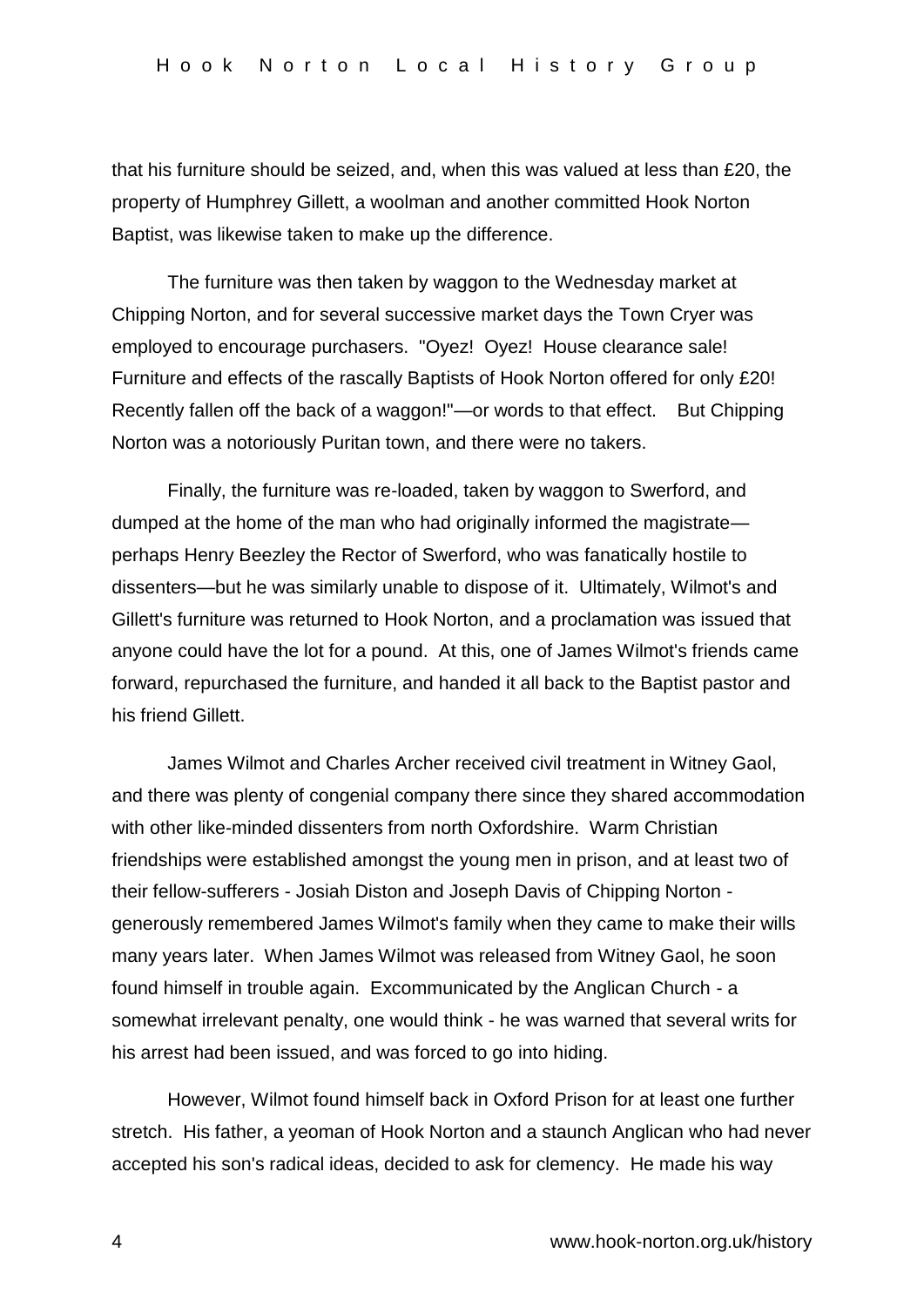that his furniture should be seized, and, when this was valued at less than £20, the property of Humphrey Gillett, a woolman and another committed Hook Norton Baptist, was likewise taken to make up the difference.

The furniture was then taken by waggon to the Wednesday market at Chipping Norton, and for several successive market days the Town Cryer was employed to encourage purchasers. "Oyez! Oyez! House clearance sale! Furniture and effects of the rascally Baptists of Hook Norton offered for only £20! Recently fallen off the back of a waggon!"—or words to that effect. But Chipping Norton was a notoriously Puritan town, and there were no takers.

Finally, the furniture was re-loaded, taken by waggon to Swerford, and dumped at the home of the man who had originally informed the magistrate perhaps Henry Beezley the Rector of Swerford, who was fanatically hostile to dissenters—but he was similarly unable to dispose of it. Ultimately, Wilmot's and Gillett's furniture was returned to Hook Norton, and a proclamation was issued that anyone could have the lot for a pound. At this, one of James Wilmot's friends came forward, repurchased the furniture, and handed it all back to the Baptist pastor and his friend Gillett.

James Wilmot and Charles Archer received civil treatment in Witney Gaol, and there was plenty of congenial company there since they shared accommodation with other like-minded dissenters from north Oxfordshire. Warm Christian friendships were established amongst the young men in prison, and at least two of their fellow-sufferers - Josiah Diston and Joseph Davis of Chipping Norton generously remembered James Wilmot's family when they came to make their wills many years later. When James Wilmot was released from Witney Gaol, he soon found himself in trouble again. Excommunicated by the Anglican Church - a somewhat irrelevant penalty, one would think - he was warned that several writs for his arrest had been issued, and was forced to go into hiding.

However, Wilmot found himself back in Oxford Prison for at least one further stretch. His father, a yeoman of Hook Norton and a staunch Anglican who had never accepted his son's radical ideas, decided to ask for clemency. He made his way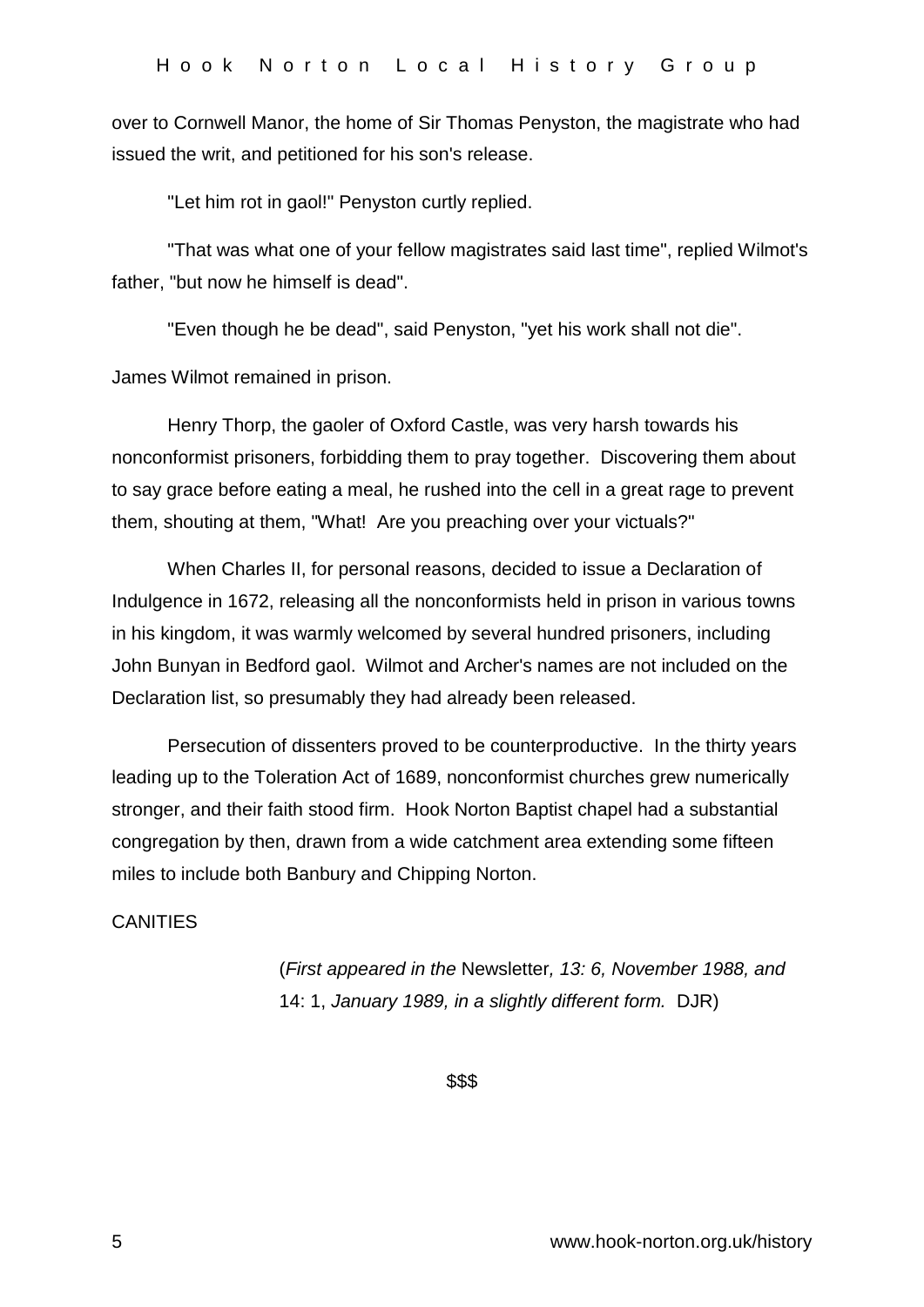over to Cornwell Manor, the home of Sir Thomas Penyston, the magistrate who had issued the writ, and petitioned for his son's release.

"Let him rot in gaol!" Penyston curtly replied.

"That was what one of your fellow magistrates said last time", replied Wilmot's father, "but now he himself is dead".

"Even though he be dead", said Penyston, "yet his work shall not die".

James Wilmot remained in prison.

Henry Thorp, the gaoler of Oxford Castle, was very harsh towards his nonconformist prisoners, forbidding them to pray together. Discovering them about to say grace before eating a meal, he rushed into the cell in a great rage to prevent them, shouting at them, "What! Are you preaching over your victuals?"

When Charles II, for personal reasons, decided to issue a Declaration of Indulgence in 1672, releasing all the nonconformists held in prison in various towns in his kingdom, it was warmly welcomed by several hundred prisoners, including John Bunyan in Bedford gaol. Wilmot and Archer's names are not included on the Declaration list, so presumably they had already been released.

Persecution of dissenters proved to be counterproductive. In the thirty years leading up to the Toleration Act of 1689, nonconformist churches grew numerically stronger, and their faith stood firm. Hook Norton Baptist chapel had a substantial congregation by then, drawn from a wide catchment area extending some fifteen miles to include both Banbury and Chipping Norton.

### **CANITIES**

(*First appeared in the* Newsletter*, 13: 6, November 1988, and* 14: 1, *January 1989, in a slightly different form.* DJR)

\$\$\$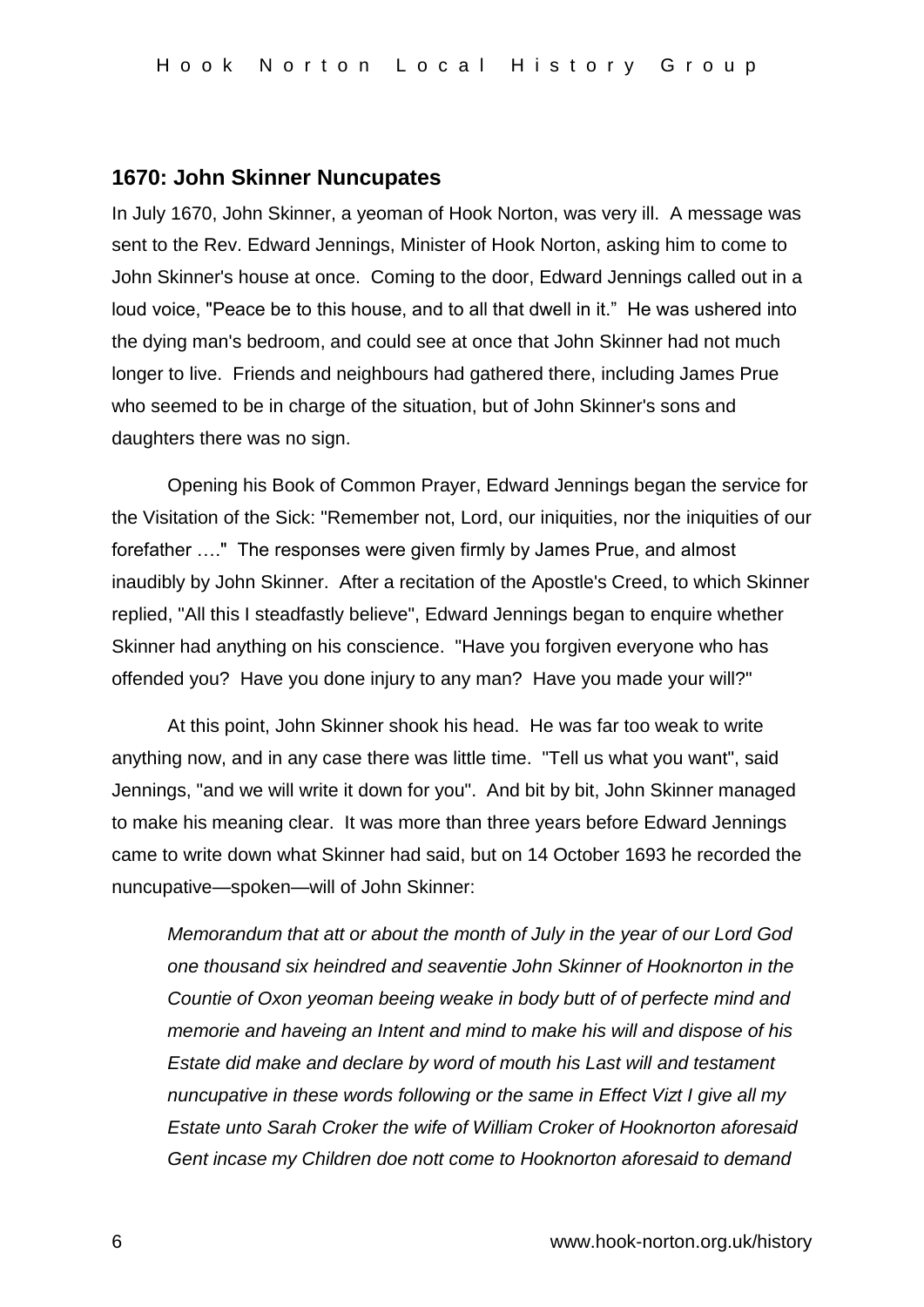### **1670: John Skinner Nuncupates**

In July 1670, John Skinner, a yeoman of Hook Norton, was very ill. A message was sent to the Rev. Edward Jennings, Minister of Hook Norton, asking him to come to John Skinner's house at once. Coming to the door, Edward Jennings called out in a loud voice, "Peace be to this house, and to all that dwell in it." He was ushered into the dying man's bedroom, and could see at once that John Skinner had not much longer to live. Friends and neighbours had gathered there, including James Prue who seemed to be in charge of the situation, but of John Skinner's sons and daughters there was no sign.

Opening his Book of Common Prayer, Edward Jennings began the service for the Visitation of the Sick: "Remember not, Lord, our iniquities, nor the iniquities of our forefather …." The responses were given firmly by James Prue, and almost inaudibly by John Skinner. After a recitation of the Apostle's Creed, to which Skinner replied, "All this I steadfastly believe", Edward Jennings began to enquire whether Skinner had anything on his conscience. "Have you forgiven everyone who has offended you? Have you done injury to any man? Have you made your will?"

At this point, John Skinner shook his head. He was far too weak to write anything now, and in any case there was little time. "Tell us what you want", said Jennings, "and we will write it down for you". And bit by bit, John Skinner managed to make his meaning clear. It was more than three years before Edward Jennings came to write down what Skinner had said, but on 14 October 1693 he recorded the nuncupative—spoken—will of John Skinner:

*Memorandum that att or about the month of July in the year of our Lord God one thousand six heindred and seaventie John Skinner of Hooknorton in the Countie of Oxon yeoman beeing weake in body butt of of perfecte mind and memorie and haveing an Intent and mind to make his will and dispose of his Estate did make and declare by word of mouth his Last will and testament nuncupative in these words following or the same in Effect Vizt I give all my Estate unto Sarah Croker the wife of William Croker of Hooknorton aforesaid Gent incase my Children doe nott come to Hooknorton aforesaid to demand*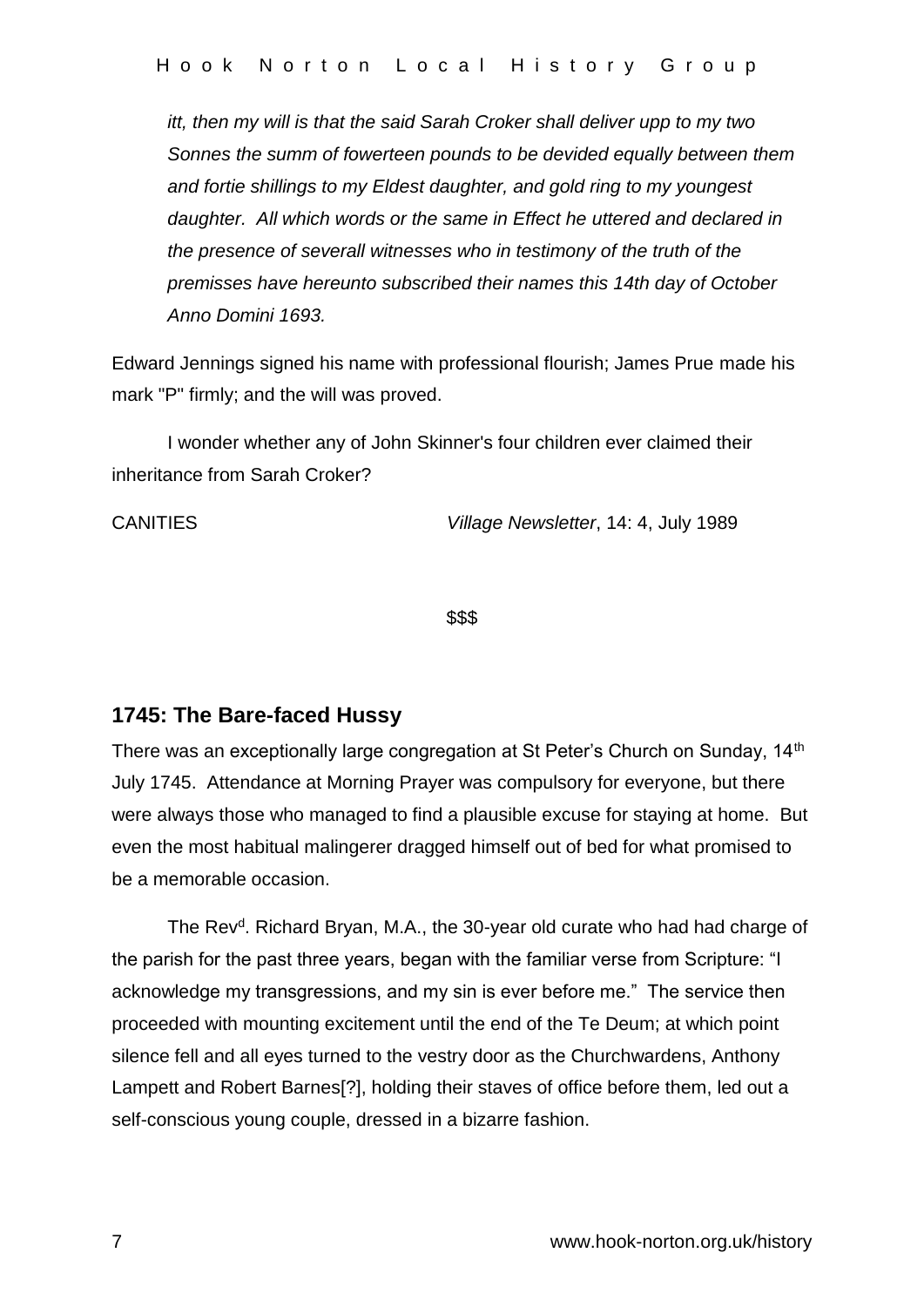*itt, then my will is that the said Sarah Croker shall deliver upp to my two Sonnes the summ of fowerteen pounds to be devided equally between them and fortie shillings to my Eldest daughter, and gold ring to my youngest daughter. All which words or the same in Effect he uttered and declared in the presence of severall witnesses who in testimony of the truth of the premisses have hereunto subscribed their names this 14th day of October Anno Domini 1693.*

Edward Jennings signed his name with professional flourish; James Prue made his mark "P" firmly; and the will was proved.

I wonder whether any of John Skinner's four children ever claimed their inheritance from Sarah Croker?

CANITIES *Village Newsletter*, 14: 4, July 1989

\$\$\$

## **1745: The Bare-faced Hussy**

There was an exceptionally large congregation at St Peter's Church on Sunday, 14<sup>th</sup> July 1745. Attendance at Morning Prayer was compulsory for everyone, but there were always those who managed to find a plausible excuse for staying at home. But even the most habitual malingerer dragged himself out of bed for what promised to be a memorable occasion.

The Rev<sup>d</sup>. Richard Bryan, M.A., the 30-year old curate who had had charge of the parish for the past three years, began with the familiar verse from Scripture: "I acknowledge my transgressions, and my sin is ever before me." The service then proceeded with mounting excitement until the end of the Te Deum; at which point silence fell and all eyes turned to the vestry door as the Churchwardens, Anthony Lampett and Robert Barnes[?], holding their staves of office before them, led out a self-conscious young couple, dressed in a bizarre fashion.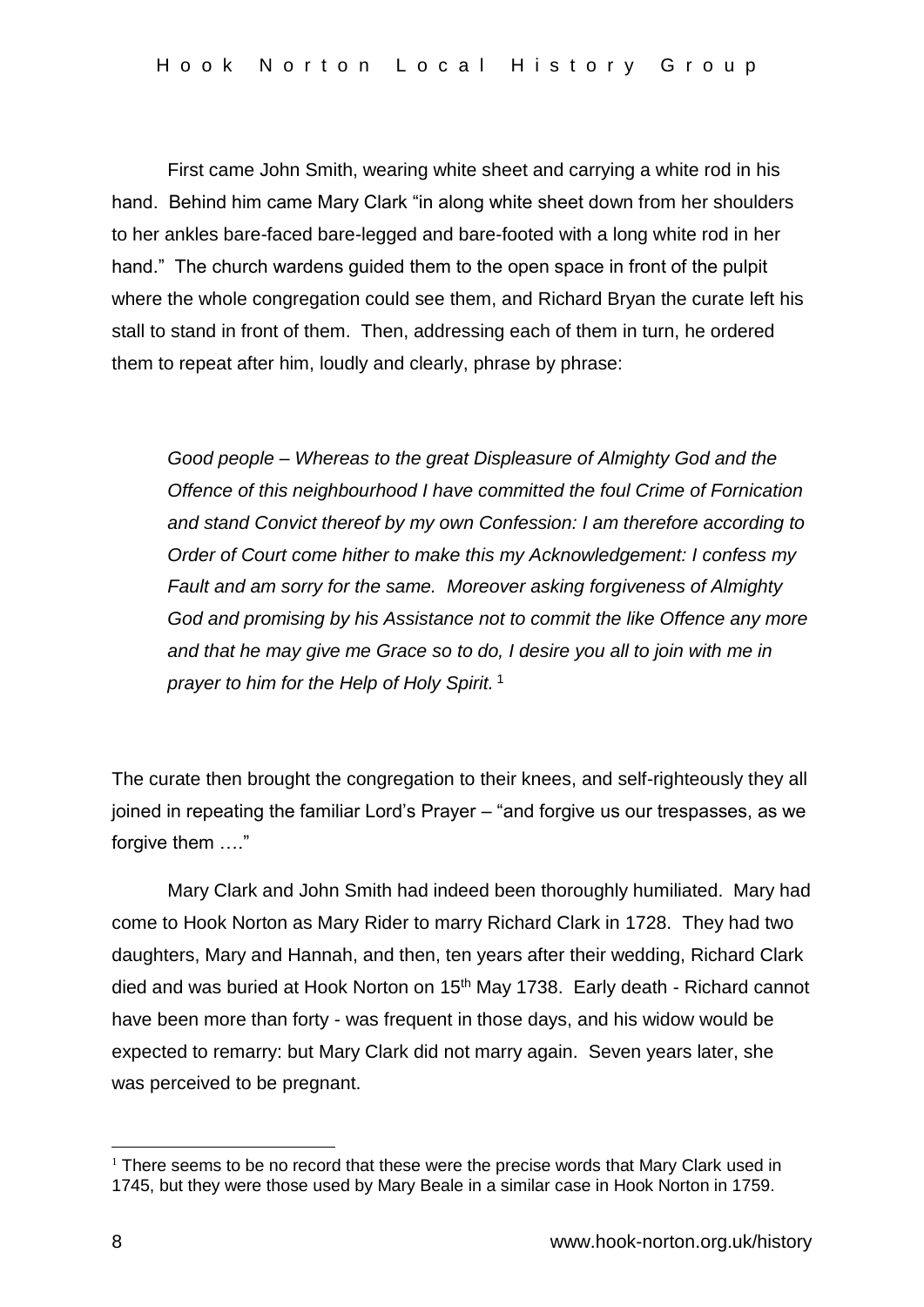First came John Smith, wearing white sheet and carrying a white rod in his hand. Behind him came Mary Clark "in along white sheet down from her shoulders to her ankles bare-faced bare-legged and bare-footed with a long white rod in her hand." The church wardens guided them to the open space in front of the pulpit where the whole congregation could see them, and Richard Bryan the curate left his stall to stand in front of them. Then, addressing each of them in turn, he ordered them to repeat after him, loudly and clearly, phrase by phrase:

*Good people – Whereas to the great Displeasure of Almighty God and the Offence of this neighbourhood I have committed the foul Crime of Fornication and stand Convict thereof by my own Confession: I am therefore according to Order of Court come hither to make this my Acknowledgement: I confess my Fault and am sorry for the same. Moreover asking forgiveness of Almighty God and promising by his Assistance not to commit the like Offence any more and that he may give me Grace so to do, I desire you all to join with me in prayer to him for the Help of Holy Spirit.* <sup>1</sup>

The curate then brought the congregation to their knees, and self-righteously they all joined in repeating the familiar Lord's Prayer – "and forgive us our trespasses, as we forgive them …."

Mary Clark and John Smith had indeed been thoroughly humiliated. Mary had come to Hook Norton as Mary Rider to marry Richard Clark in 1728. They had two daughters, Mary and Hannah, and then, ten years after their wedding, Richard Clark died and was buried at Hook Norton on 15th May 1738.Early death - Richard cannot have been more than forty - was frequent in those days, and his widow would be expected to remarry: but Mary Clark did not marry again. Seven years later, she was perceived to be pregnant.

1

 $1$  There seems to be no record that these were the precise words that Mary Clark used in 1745, but they were those used by Mary Beale in a similar case in Hook Norton in 1759.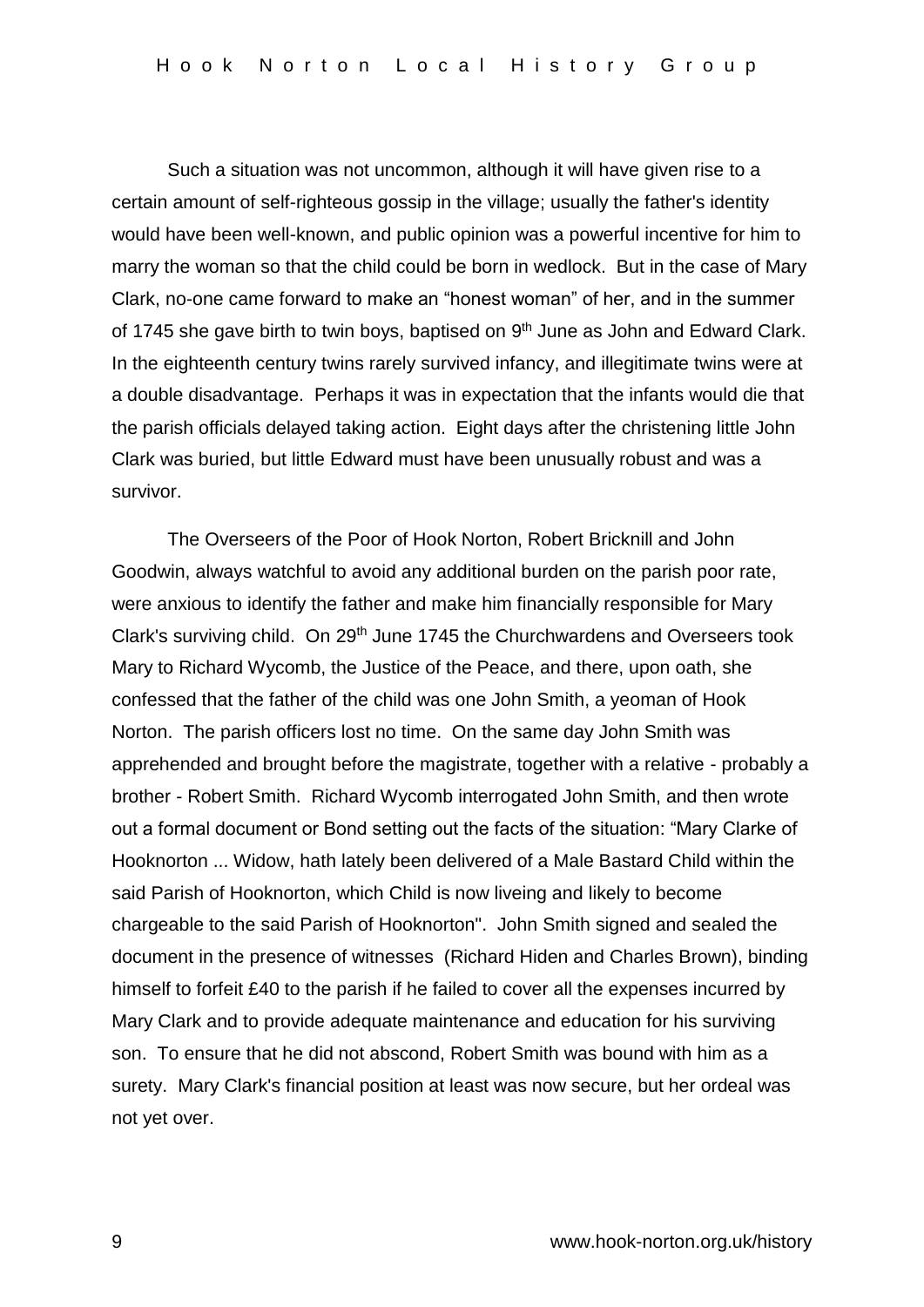Such a situation was not uncommon, although it will have given rise to a certain amount of self-righteous gossip in the village; usually the father's identity would have been well-known, and public opinion was a powerful incentive for him to marry the woman so that the child could be born in wedlock. But in the case of Mary Clark, no-one came forward to make an "honest woman" of her, and in the summer of 1745 she gave birth to twin boys, baptised on  $9<sup>th</sup>$  June as John and Edward Clark. In the eighteenth century twins rarely survived infancy, and illegitimate twins were at a double disadvantage. Perhaps it was in expectation that the infants would die that the parish officials delayed taking action. Eight days after the christening little John Clark was buried, but little Edward must have been unusually robust and was a survivor.

The Overseers of the Poor of Hook Norton, Robert Bricknill and John Goodwin, always watchful to avoid any additional burden on the parish poor rate, were anxious to identify the father and make him financially responsible for Mary Clark's surviving child. On 29<sup>th</sup> June 1745 the Churchwardens and Overseers took Mary to Richard Wycomb, the Justice of the Peace, and there, upon oath, she confessed that the father of the child was one John Smith, a yeoman of Hook Norton. The parish officers lost no time. On the same day John Smith was apprehended and brought before the magistrate, together with a relative - probably a brother - Robert Smith. Richard Wycomb interrogated John Smith, and then wrote out a formal document or Bond setting out the facts of the situation: "Mary Clarke of Hooknorton ... Widow, hath lately been delivered of a Male Bastard Child within the said Parish of Hooknorton, which Child is now liveing and likely to become chargeable to the said Parish of Hooknorton". John Smith signed and sealed the document in the presence of witnesses (Richard Hiden and Charles Brown), binding himself to forfeit £40 to the parish if he failed to cover all the expenses incurred by Mary Clark and to provide adequate maintenance and education for his surviving son. To ensure that he did not abscond, Robert Smith was bound with him as a surety. Mary Clark's financial position at least was now secure, but her ordeal was not yet over.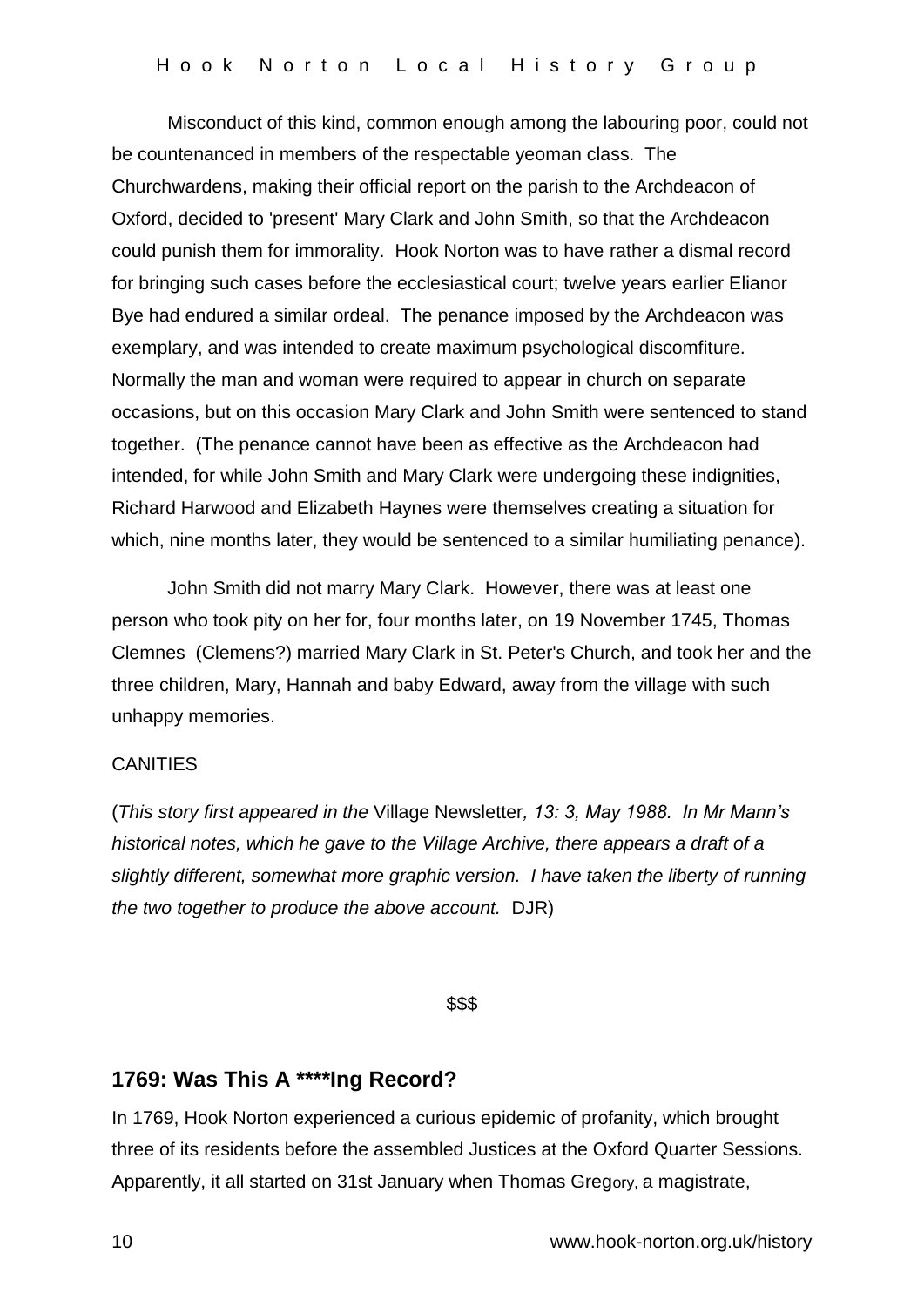Misconduct of this kind, common enough among the labouring poor, could not be countenanced in members of the respectable yeoman class. The Churchwardens, making their official report on the parish to the Archdeacon of Oxford, decided to 'present' Mary Clark and John Smith, so that the Archdeacon could punish them for immorality. Hook Norton was to have rather a dismal record for bringing such cases before the ecclesiastical court; twelve years earlier Elianor Bye had endured a similar ordeal. The penance imposed by the Archdeacon was exemplary, and was intended to create maximum psychological discomfiture. Normally the man and woman were required to appear in church on separate occasions, but on this occasion Mary Clark and John Smith were sentenced to stand together. (The penance cannot have been as effective as the Archdeacon had intended, for while John Smith and Mary Clark were undergoing these indignities, Richard Harwood and Elizabeth Haynes were themselves creating a situation for which, nine months later, they would be sentenced to a similar humiliating penance).

John Smith did not marry Mary Clark. However, there was at least one person who took pity on her for, four months later, on 19 November 1745, Thomas Clemnes (Clemens?) married Mary Clark in St. Peter's Church, and took her and the three children, Mary, Hannah and baby Edward, away from the village with such unhappy memories.

### **CANITIES**

(*This story first appeared in the* Village Newsletter*, 13: 3, May 1988. In Mr Mann's historical notes, which he gave to the Village Archive, there appears a draft of a slightly different, somewhat more graphic version. I have taken the liberty of running the two together to produce the above account.* DJR)

### \$\$\$

## **1769: Was This A \*\*\*\*Ing Record?**

In 1769, Hook Norton experienced a curious epidemic of profanity, which brought three of its residents before the assembled Justices at the Oxford Quarter Sessions. Apparently, it all started on 31st January when Thomas Gregory, a magistrate,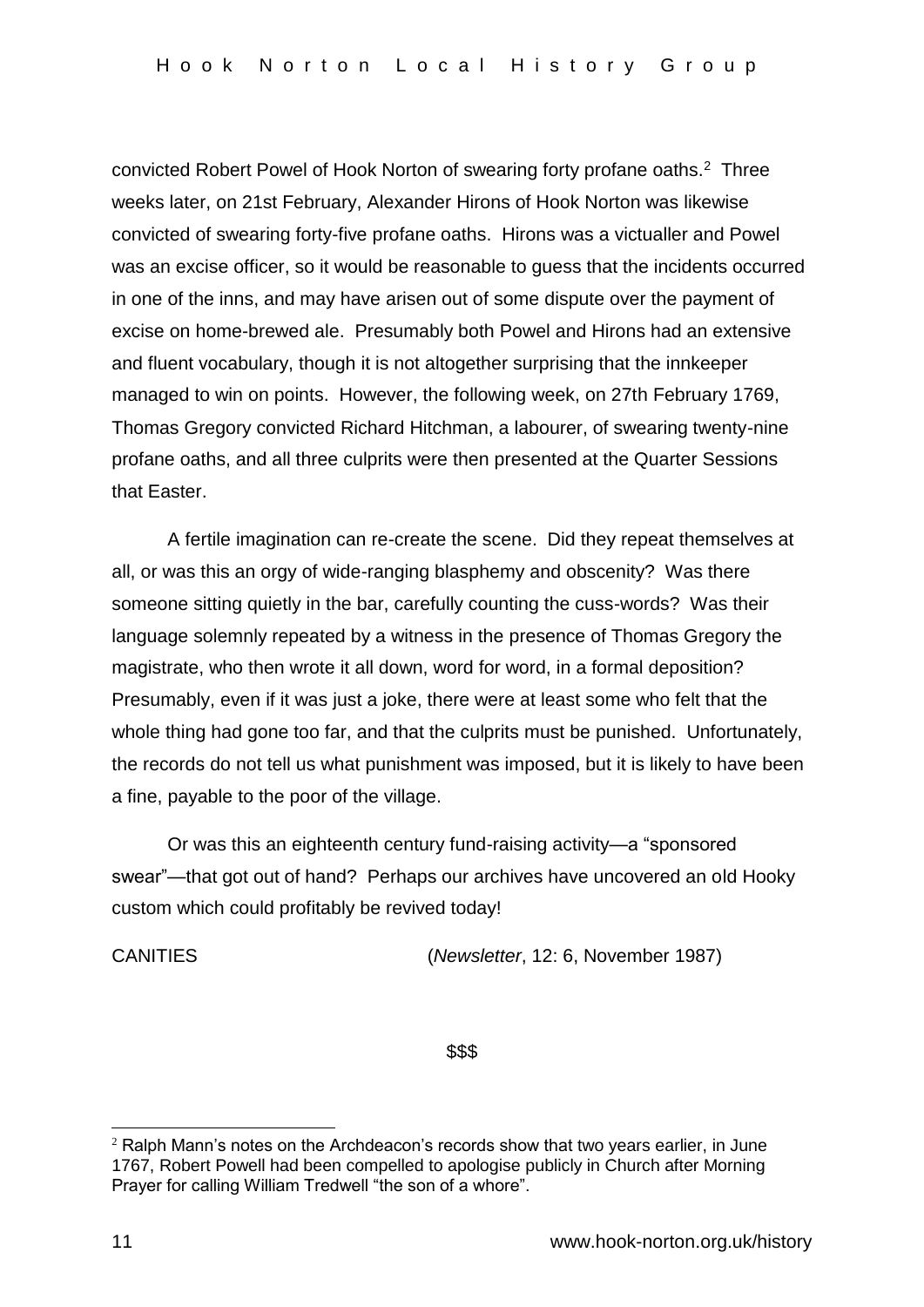convicted Robert Powel of Hook Norton of swearing forty profane oaths.<sup>2</sup> Three weeks later, on 21st February, Alexander Hirons of Hook Norton was likewise convicted of swearing forty-five profane oaths. Hirons was a victualler and Powel was an excise officer, so it would be reasonable to guess that the incidents occurred in one of the inns, and may have arisen out of some dispute over the payment of excise on home-brewed ale. Presumably both Powel and Hirons had an extensive and fluent vocabulary, though it is not altogether surprising that the innkeeper managed to win on points. However, the following week, on 27th February 1769, Thomas Gregory convicted Richard Hitchman, a labourer, of swearing twenty-nine profane oaths, and all three culprits were then presented at the Quarter Sessions that Easter.

A fertile imagination can re-create the scene. Did they repeat themselves at all, or was this an orgy of wide-ranging blasphemy and obscenity? Was there someone sitting quietly in the bar, carefully counting the cuss-words? Was their language solemnly repeated by a witness in the presence of Thomas Gregory the magistrate, who then wrote it all down, word for word, in a formal deposition? Presumably, even if it was just a joke, there were at least some who felt that the whole thing had gone too far, and that the culprits must be punished. Unfortunately, the records do not tell us what punishment was imposed, but it is likely to have been a fine, payable to the poor of the village.

Or was this an eighteenth century fund-raising activity—a "sponsored swear"—that got out of hand? Perhaps our archives have uncovered an old Hooky custom which could profitably be revived today!

CANITIES (*Newsletter*, 12: 6, November 1987)

\$\$\$

1

<sup>&</sup>lt;sup>2</sup> Ralph Mann's notes on the Archdeacon's records show that two years earlier, in June 1767, Robert Powell had been compelled to apologise publicly in Church after Morning Prayer for calling William Tredwell "the son of a whore".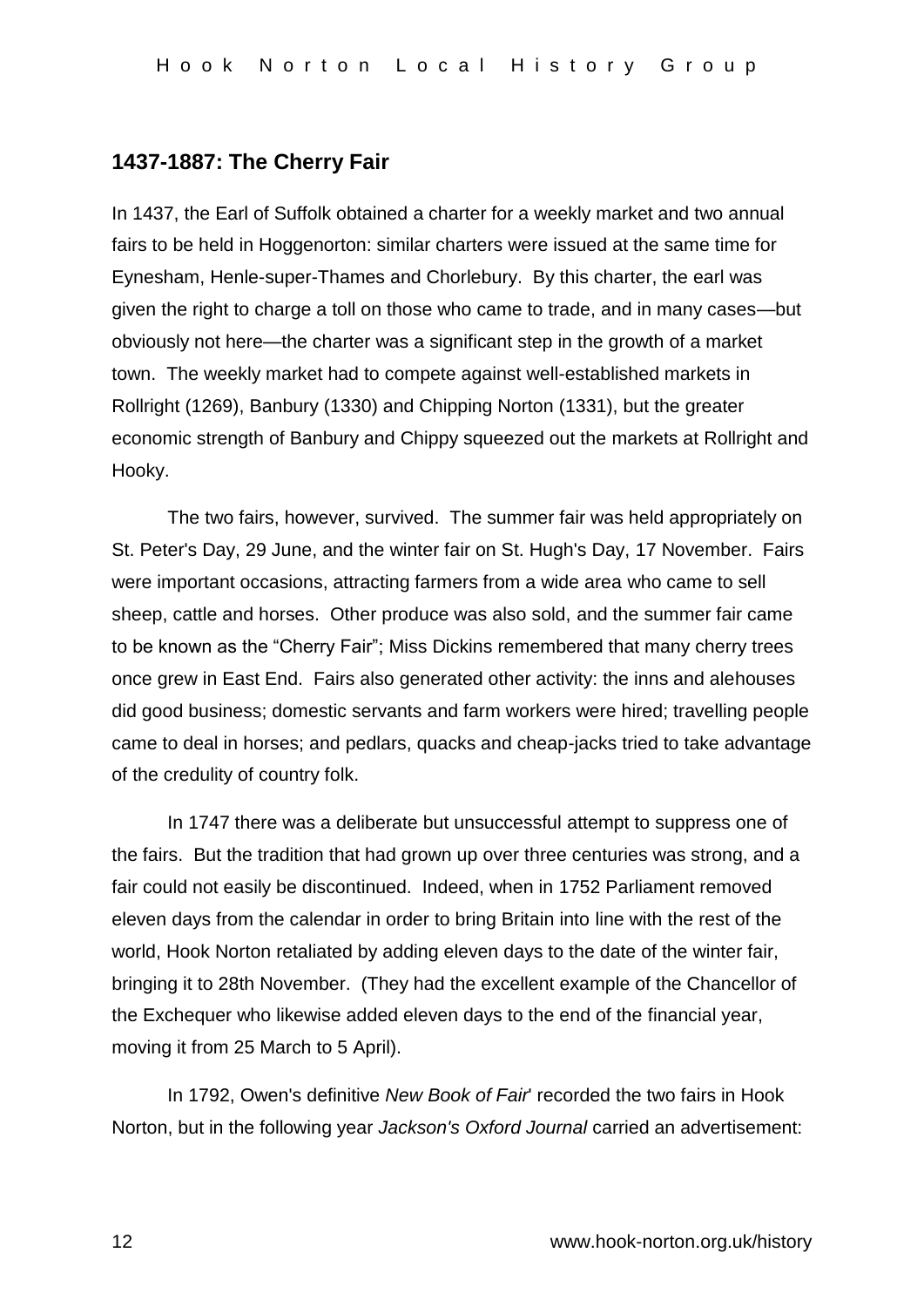# **1437-1887: The Cherry Fair**

In 1437, the Earl of Suffolk obtained a charter for a weekly market and two annual fairs to be held in Hoggenorton: similar charters were issued at the same time for Eynesham, Henle-super-Thames and Chorlebury. By this charter, the earl was given the right to charge a toll on those who came to trade, and in many cases—but obviously not here—the charter was a significant step in the growth of a market town. The weekly market had to compete against well-established markets in Rollright (1269), Banbury (1330) and Chipping Norton (1331), but the greater economic strength of Banbury and Chippy squeezed out the markets at Rollright and Hooky.

The two fairs, however, survived. The summer fair was held appropriately on St. Peter's Day, 29 June, and the winter fair on St. Hugh's Day, 17 November. Fairs were important occasions, attracting farmers from a wide area who came to sell sheep, cattle and horses. Other produce was also sold, and the summer fair came to be known as the "Cherry Fair"; Miss Dickins remembered that many cherry trees once grew in East End. Fairs also generated other activity: the inns and alehouses did good business; domestic servants and farm workers were hired; travelling people came to deal in horses; and pedlars, quacks and cheap-jacks tried to take advantage of the credulity of country folk.

In 1747 there was a deliberate but unsuccessful attempt to suppress one of the fairs. But the tradition that had grown up over three centuries was strong, and a fair could not easily be discontinued. Indeed, when in 1752 Parliament removed eleven days from the calendar in order to bring Britain into line with the rest of the world, Hook Norton retaliated by adding eleven days to the date of the winter fair, bringing it to 28th November. (They had the excellent example of the Chancellor of the Exchequer who likewise added eleven days to the end of the financial year, moving it from 25 March to 5 April).

In 1792, Owen's definitive *New Book of Fair*' recorded the two fairs in Hook Norton, but in the following year *Jackson's Oxford Journal* carried an advertisement: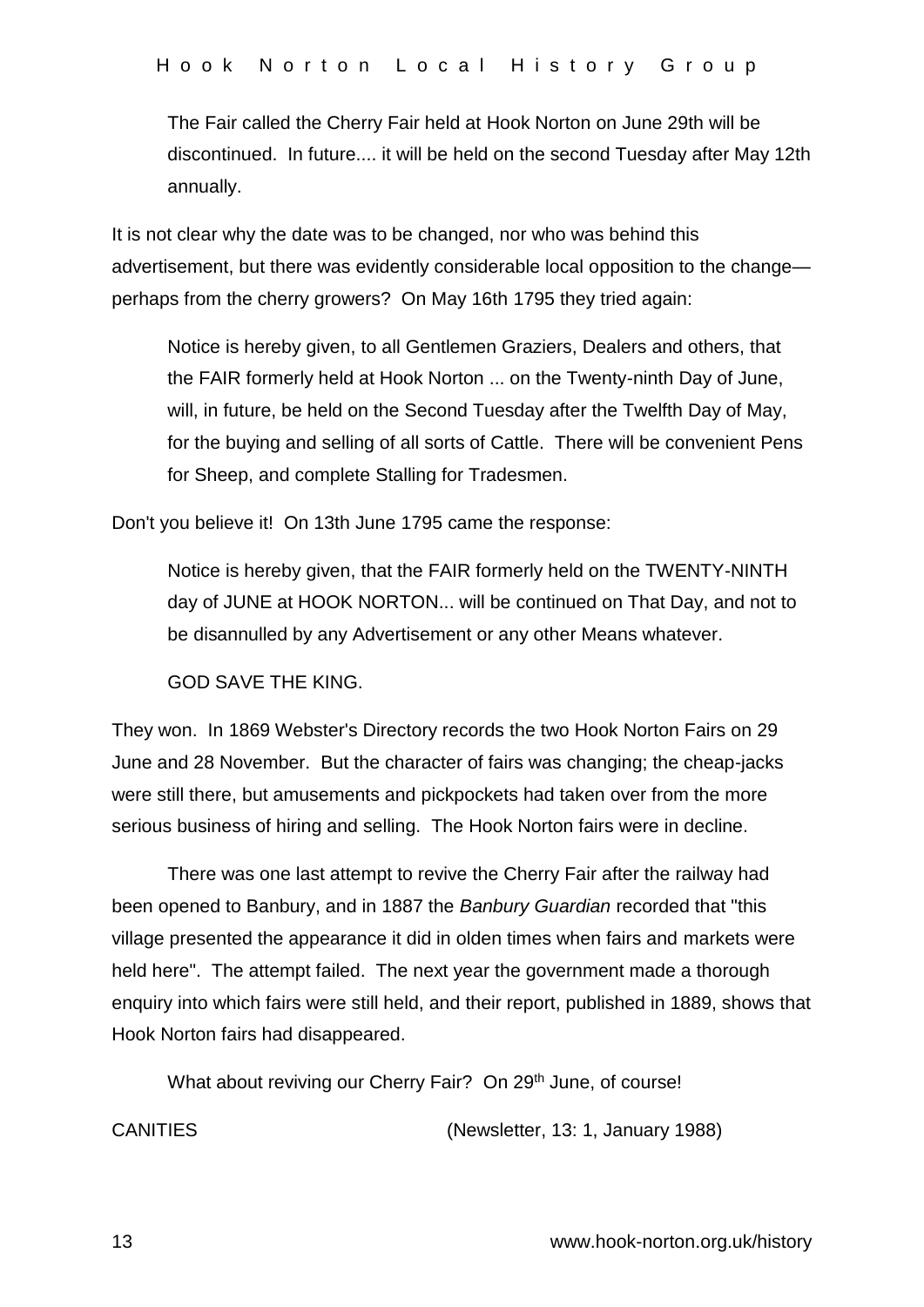The Fair called the Cherry Fair held at Hook Norton on June 29th will be discontinued. In future.... it will be held on the second Tuesday after May 12th annually.

It is not clear why the date was to be changed, nor who was behind this advertisement, but there was evidently considerable local opposition to the change perhaps from the cherry growers? On May 16th 1795 they tried again:

Notice is hereby given, to all Gentlemen Graziers, Dealers and others, that the FAIR formerly held at Hook Norton ... on the Twenty-ninth Day of June, will, in future, be held on the Second Tuesday after the Twelfth Day of May, for the buying and selling of all sorts of Cattle. There will be convenient Pens for Sheep, and complete Stalling for Tradesmen.

Don't you believe it! On 13th June 1795 came the response:

Notice is hereby given, that the FAIR formerly held on the TWENTY-NINTH day of JUNE at HOOK NORTON... will be continued on That Day, and not to be disannulled by any Advertisement or any other Means whatever.

GOD SAVE THE KING.

They won. In 1869 Webster's Directory records the two Hook Norton Fairs on 29 June and 28 November. But the character of fairs was changing; the cheap-jacks were still there, but amusements and pickpockets had taken over from the more serious business of hiring and selling. The Hook Norton fairs were in decline.

There was one last attempt to revive the Cherry Fair after the railway had been opened to Banbury, and in 1887 the *Banbury Guardian* recorded that "this village presented the appearance it did in olden times when fairs and markets were held here". The attempt failed. The next year the government made a thorough enquiry into which fairs were still held, and their report, published in 1889, shows that Hook Norton fairs had disappeared.

What about reviving our Cherry Fair? On 29<sup>th</sup> June, of course!

CANITIES (Newsletter, 13: 1, January 1988)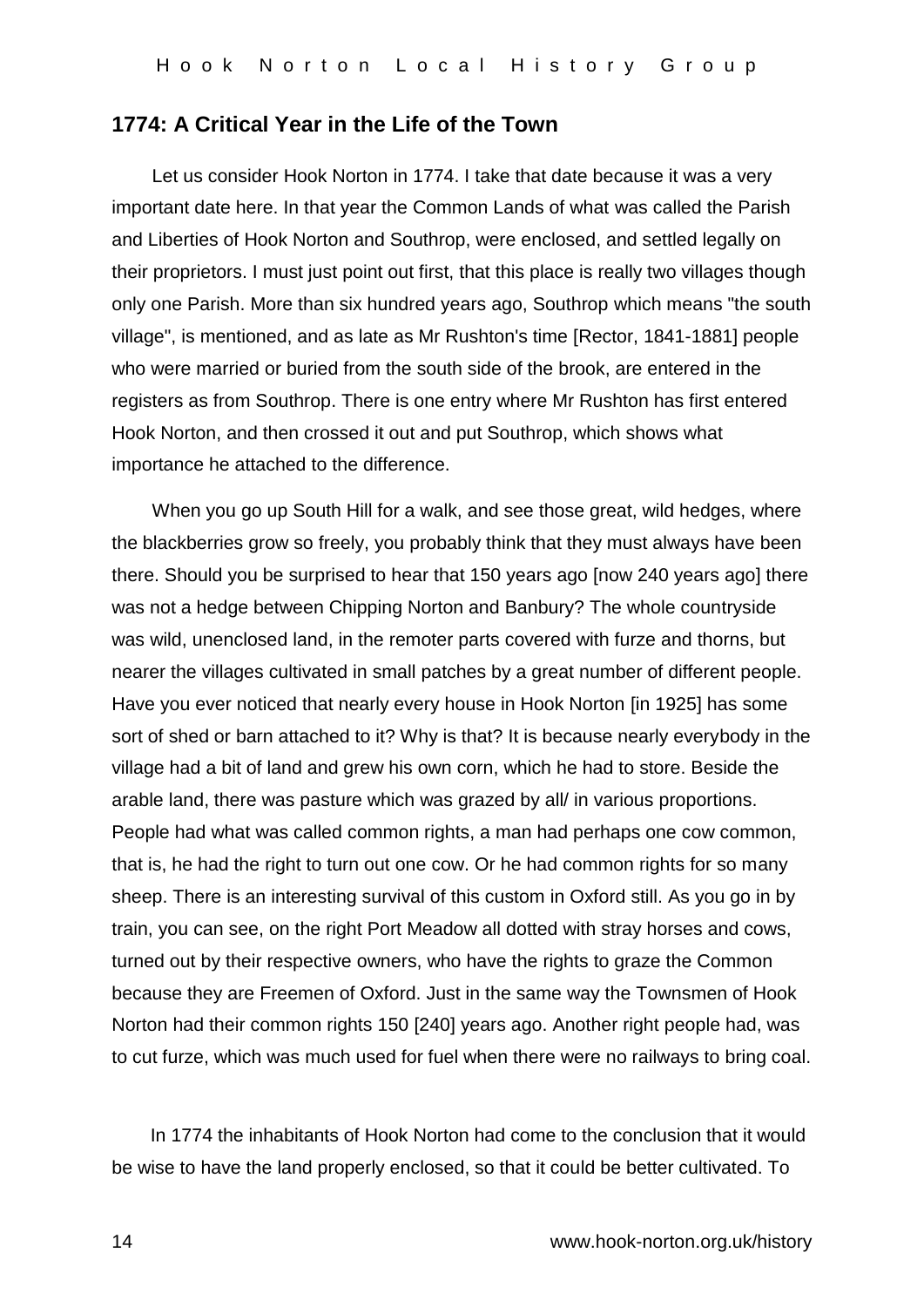### **1774: A Critical Year in the Life of the Town**

Let us consider Hook Norton in 1774. I take that date because it was a very important date here. In that year the Common Lands of what was called the Parish and Liberties of Hook Norton and Southrop, were enclosed, and settled legally on their proprietors. I must just point out first, that this place is really two villages though only one Parish. More than six hundred years ago, Southrop which means "the south village", is mentioned, and as late as Mr Rushton's time [Rector, 1841-1881] people who were married or buried from the south side of the brook, are entered in the registers as from Southrop. There is one entry where Mr Rushton has first entered Hook Norton, and then crossed it out and put Southrop, which shows what importance he attached to the difference.

When you go up South Hill for a walk, and see those great, wild hedges, where the blackberries grow so freely, you probably think that they must always have been there. Should you be surprised to hear that 150 years ago [now 240 years ago] there was not a hedge between Chipping Norton and Banbury? The whole countryside was wild, unenclosed land, in the remoter parts covered with furze and thorns, but nearer the villages cultivated in small patches by a great number of different people. Have you ever noticed that nearly every house in Hook Norton [in 1925] has some sort of shed or barn attached to it? Why is that? It is because nearly everybody in the village had a bit of land and grew his own corn, which he had to store. Beside the arable land, there was pasture which was grazed by all/ in various proportions. People had what was called common rights, a man had perhaps one cow common, that is, he had the right to turn out one cow. Or he had common rights for so many sheep. There is an interesting survival of this custom in Oxford still. As you go in by train, you can see, on the right Port Meadow all dotted with stray horses and cows, turned out by their respective owners, who have the rights to graze the Common because they are Freemen of Oxford. Just in the same way the Townsmen of Hook Norton had their common rights 150 [240] years ago. Another right people had, was to cut furze, which was much used for fuel when there were no railways to bring coal.

In 1774 the inhabitants of Hook Norton had come to the conclusion that it would be wise to have the land properly enclosed, so that it could be better cultivated. To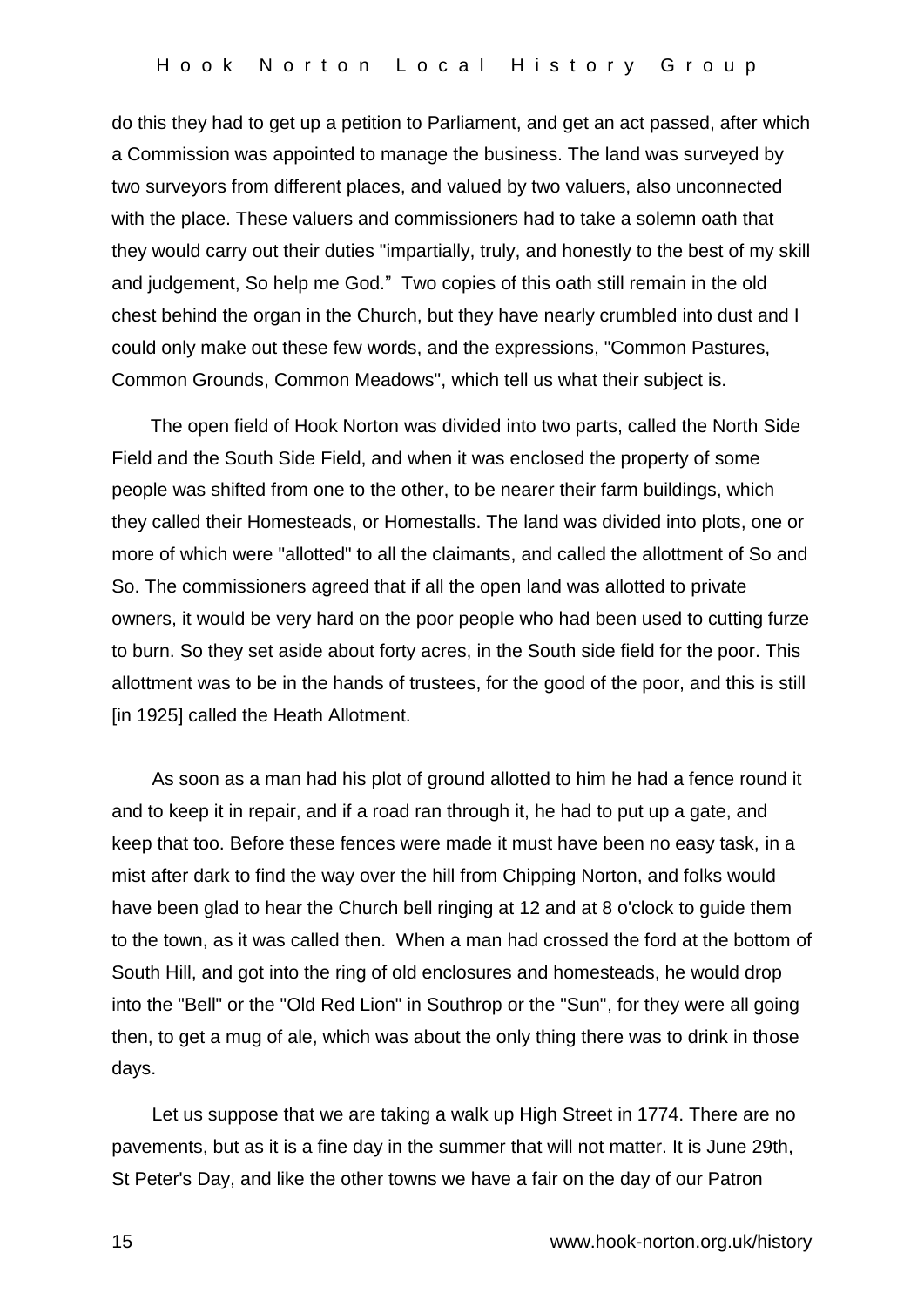do this they had to get up a petition to Parliament, and get an act passed, after which a Commission was appointed to manage the business. The land was surveyed by two surveyors from different places, and valued by two valuers, also unconnected with the place. These valuers and commissioners had to take a solemn oath that they would carry out their duties "impartially, truly, and honestly to the best of my skill and judgement, So help me God." Two copies of this oath still remain in the old chest behind the organ in the Church, but they have nearly crumbled into dust and I could only make out these few words, and the expressions, "Common Pastures, Common Grounds, Common Meadows", which tell us what their subject is.

The open field of Hook Norton was divided into two parts, called the North Side Field and the South Side Field, and when it was enclosed the property of some people was shifted from one to the other, to be nearer their farm buildings, which they called their Homesteads, or Homestalls. The land was divided into plots, one or more of which were "allotted" to all the claimants, and called the allottment of So and So. The commissioners agreed that if all the open land was allotted to private owners, it would be very hard on the poor people who had been used to cutting furze to burn. So they set aside about forty acres, in the South side field for the poor. This allottment was to be in the hands of trustees, for the good of the poor, and this is still [in 1925] called the Heath Allotment.

As soon as a man had his plot of ground allotted to him he had a fence round it and to keep it in repair, and if a road ran through it, he had to put up a gate, and keep that too. Before these fences were made it must have been no easy task, in a mist after dark to find the way over the hill from Chipping Norton, and folks would have been glad to hear the Church bell ringing at 12 and at 8 o'clock to guide them to the town, as it was called then. When a man had crossed the ford at the bottom of South Hill, and got into the ring of old enclosures and homesteads, he would drop into the "Bell" or the "Old Red Lion" in Southrop or the "Sun", for they were all going then, to get a mug of ale, which was about the only thing there was to drink in those days.

Let us suppose that we are taking a walk up High Street in 1774. There are no pavements, but as it is a fine day in the summer that will not matter. It is June 29th, St Peter's Day, and like the other towns we have a fair on the day of our Patron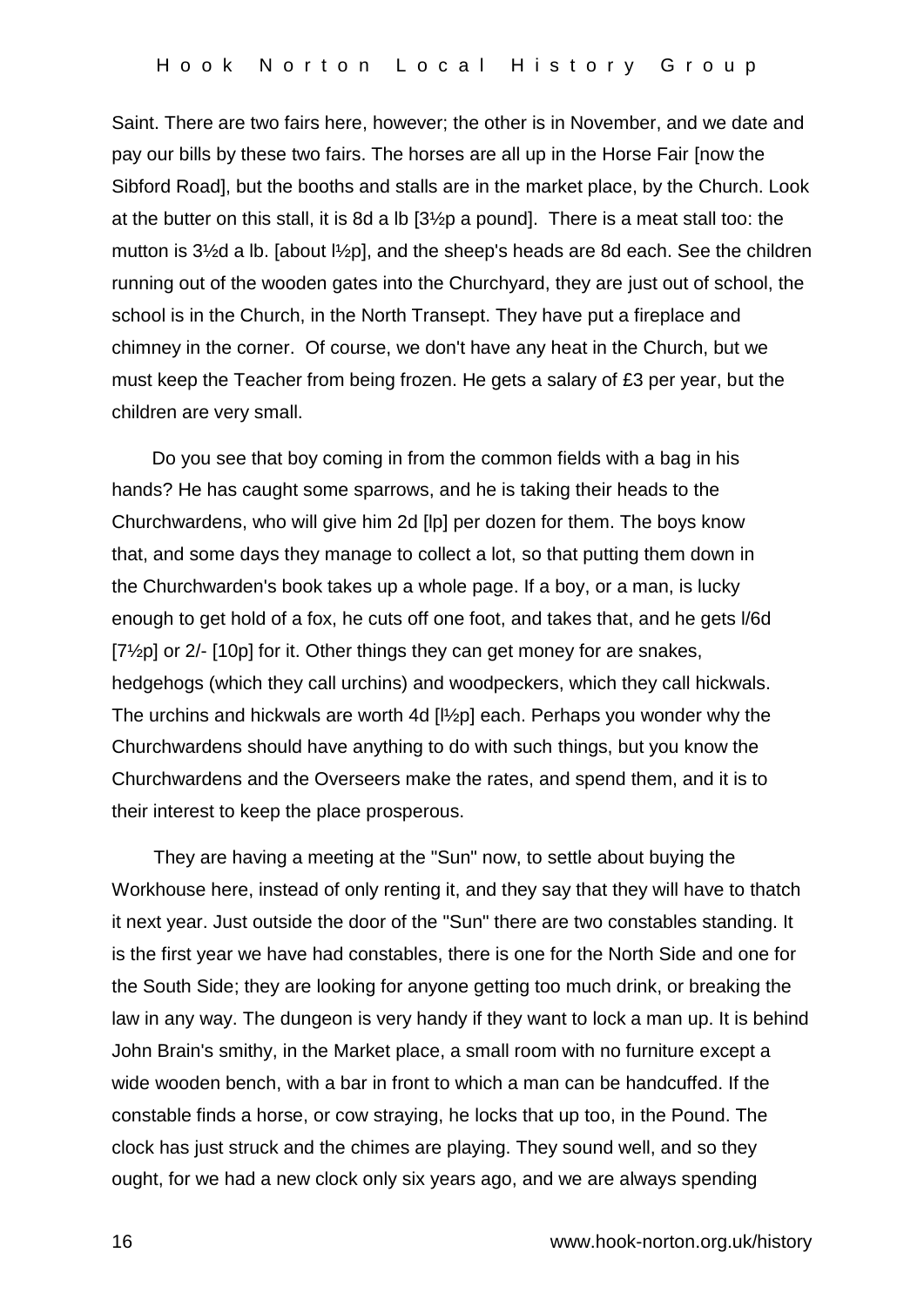Saint. There are two fairs here, however; the other is in November, and we date and pay our bills by these two fairs. The horses are all up in the Horse Fair [now the Sibford Road], but the booths and stalls are in the market place, by the Church. Look at the butter on this stall, it is 8d a lb [3½p a pound]. There is a meat stall too: the mutton is 3½d a lb. [about l½p], and the sheep's heads are 8d each. See the children running out of the wooden gates into the Churchyard, they are just out of school, the school is in the Church, in the North Transept. They have put a fireplace and chimney in the corner. Of course, we don't have any heat in the Church, but we must keep the Teacher from being frozen. He gets a salary of £3 per year, but the children are very small.

Do you see that boy coming in from the common fields with a bag in his hands? He has caught some sparrows, and he is taking their heads to the Churchwardens, who will give him 2d [lp] per dozen for them. The boys know that, and some days they manage to collect a lot, so that putting them down in the Churchwarden's book takes up a whole page. If a boy, or a man, is lucky enough to get hold of a fox, he cuts off one foot, and takes that, and he gets l/6d [7½p] or 2/- [10p] for it. Other things they can get money for are snakes, hedgehogs (which they call urchins) and woodpeckers, which they call hickwals. The urchins and hickwals are worth 4d [l½p] each. Perhaps you wonder why the Churchwardens should have anything to do with such things, but you know the Churchwardens and the Overseers make the rates, and spend them, and it is to their interest to keep the place prosperous.

They are having a meeting at the "Sun" now, to settle about buying the Workhouse here, instead of only renting it, and they say that they will have to thatch it next year. Just outside the door of the "Sun" there are two constables standing. It is the first year we have had constables, there is one for the North Side and one for the South Side; they are looking for anyone getting too much drink, or breaking the law in any way. The dungeon is very handy if they want to lock a man up. It is behind John Brain's smithy, in the Market place, a small room with no furniture except a wide wooden bench, with a bar in front to which a man can be handcuffed. If the constable finds a horse, or cow straying, he locks that up too, in the Pound. The clock has just struck and the chimes are playing. They sound well, and so they ought, for we had a new clock only six years ago, and we are always spending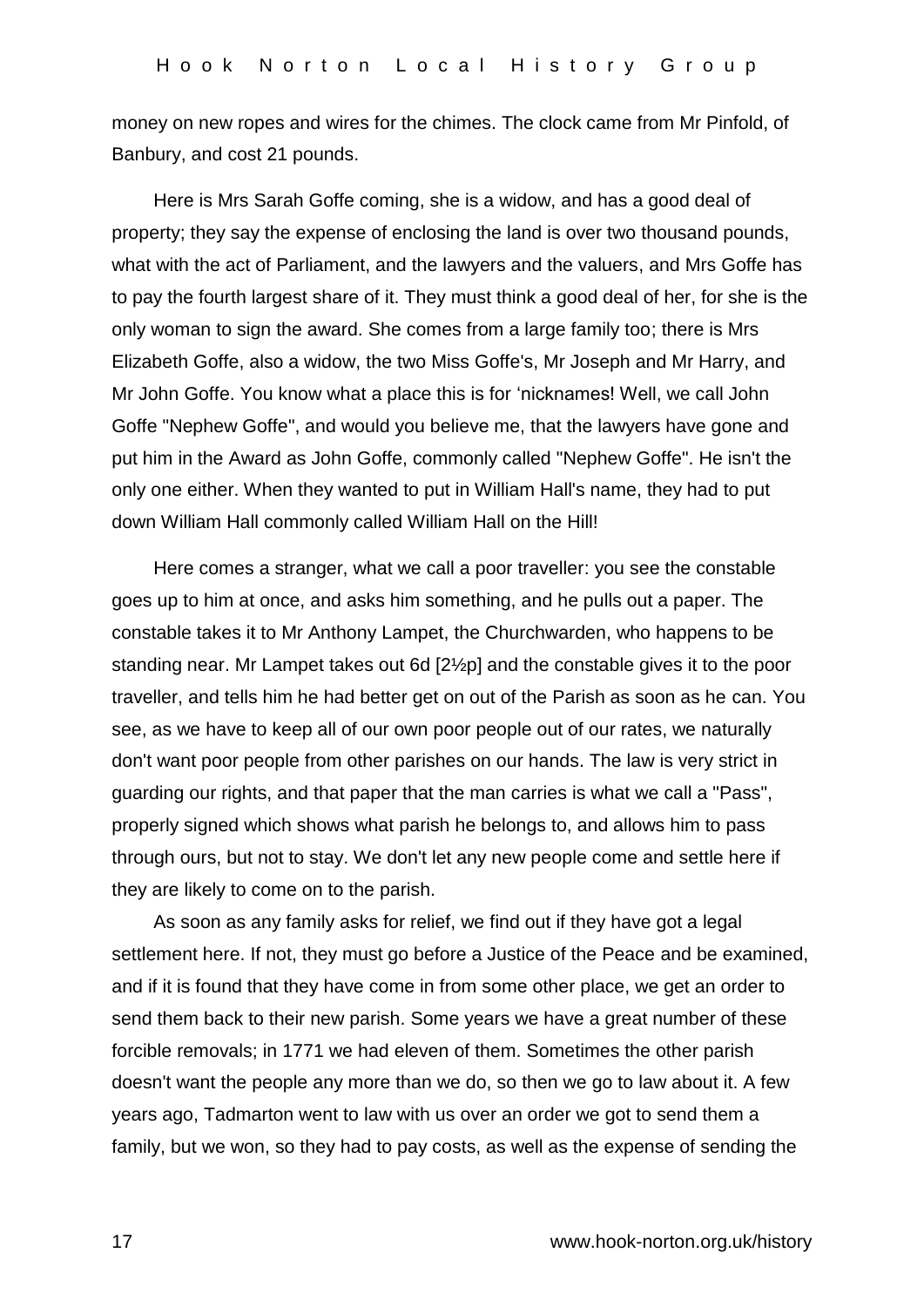money on new ropes and wires for the chimes. The clock came from Mr Pinfold, of Banbury, and cost 21 pounds.

Here is Mrs Sarah Goffe coming, she is a widow, and has a good deal of property; they say the expense of enclosing the land is over two thousand pounds, what with the act of Parliament, and the lawyers and the valuers, and Mrs Goffe has to pay the fourth largest share of it. They must think a good deal of her, for she is the only woman to sign the award. She comes from a large family too; there is Mrs Elizabeth Goffe, also a widow, the two Miss Goffe's, Mr Joseph and Mr Harry, and Mr John Goffe. You know what a place this is for 'nicknames! Well, we call John Goffe "Nephew Goffe", and would you believe me, that the lawyers have gone and put him in the Award as John Goffe, commonly called "Nephew Goffe". He isn't the only one either. When they wanted to put in William Hall's name, they had to put down William Hall commonly called William Hall on the Hill!

Here comes a stranger, what we call a poor traveller: you see the constable goes up to him at once, and asks him something, and he pulls out a paper. The constable takes it to Mr Anthony Lampet, the Churchwarden, who happens to be standing near. Mr Lampet takes out 6d [2½p] and the constable gives it to the poor traveller, and tells him he had better get on out of the Parish as soon as he can. You see, as we have to keep all of our own poor people out of our rates, we naturally don't want poor people from other parishes on our hands. The law is very strict in guarding our rights, and that paper that the man carries is what we call a "Pass", properly signed which shows what parish he belongs to, and allows him to pass through ours, but not to stay. We don't let any new people come and settle here if they are likely to come on to the parish.

As soon as any family asks for relief, we find out if they have got a legal settlement here. If not, they must go before a Justice of the Peace and be examined, and if it is found that they have come in from some other place, we get an order to send them back to their new parish. Some years we have a great number of these forcible removals; in 1771 we had eleven of them. Sometimes the other parish doesn't want the people any more than we do, so then we go to law about it. A few years ago, Tadmarton went to law with us over an order we got to send them a family, but we won, so they had to pay costs, as well as the expense of sending the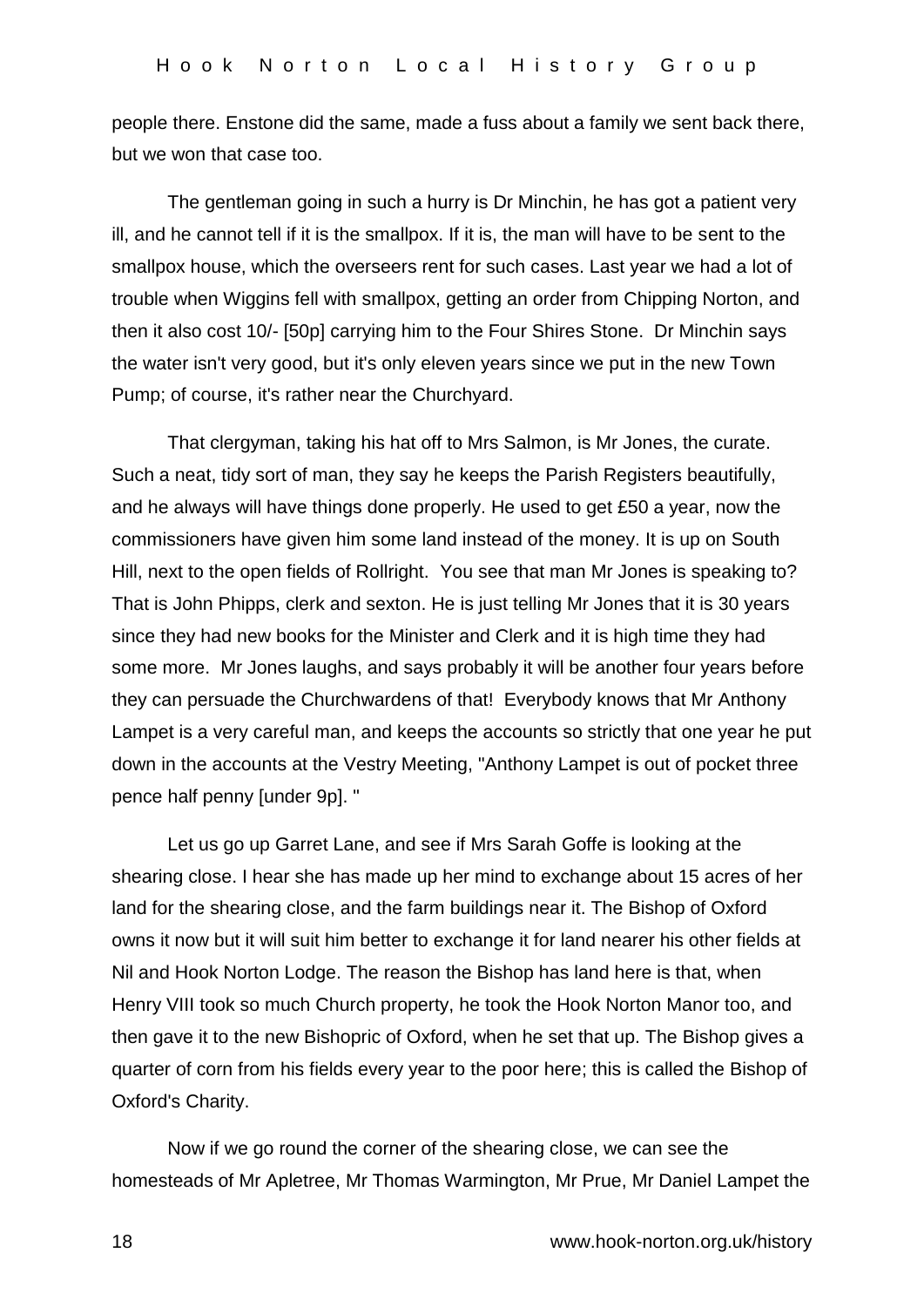people there. Enstone did the same, made a fuss about a family we sent back there, but we won that case too.

The gentleman going in such a hurry is Dr Minchin, he has got a patient very ill, and he cannot tell if it is the smallpox. If it is, the man will have to be sent to the smallpox house, which the overseers rent for such cases. Last year we had a lot of trouble when Wiggins fell with smallpox, getting an order from Chipping Norton, and then it also cost 10/- [50p] carrying him to the Four Shires Stone. Dr Minchin says the water isn't very good, but it's only eleven years since we put in the new Town Pump; of course, it's rather near the Churchyard.

That clergyman, taking his hat off to Mrs Salmon, is Mr Jones, the curate. Such a neat, tidy sort of man, they say he keeps the Parish Registers beautifully, and he always will have things done properly. He used to get £50 a year, now the commissioners have given him some land instead of the money. It is up on South Hill, next to the open fields of Rollright. You see that man Mr Jones is speaking to? That is John Phipps, clerk and sexton. He is just telling Mr Jones that it is 30 years since they had new books for the Minister and Clerk and it is high time they had some more. Mr Jones laughs, and says probably it will be another four years before they can persuade the Churchwardens of that! Everybody knows that Mr Anthony Lampet is a very careful man, and keeps the accounts so strictly that one year he put down in the accounts at the Vestry Meeting, "Anthony Lampet is out of pocket three pence half penny [under 9p]. "

Let us go up Garret Lane, and see if Mrs Sarah Goffe is looking at the shearing close. I hear she has made up her mind to exchange about 15 acres of her land for the shearing close, and the farm buildings near it. The Bishop of Oxford owns it now but it will suit him better to exchange it for land nearer his other fields at Nil and Hook Norton Lodge. The reason the Bishop has land here is that, when Henry VIII took so much Church property, he took the Hook Norton Manor too, and then gave it to the new Bishopric of Oxford, when he set that up. The Bishop gives a quarter of corn from his fields every year to the poor here; this is called the Bishop of Oxford's Charity.

Now if we go round the corner of the shearing close, we can see the homesteads of Mr Apletree, Mr Thomas Warmington, Mr Prue, Mr Daniel Lampet the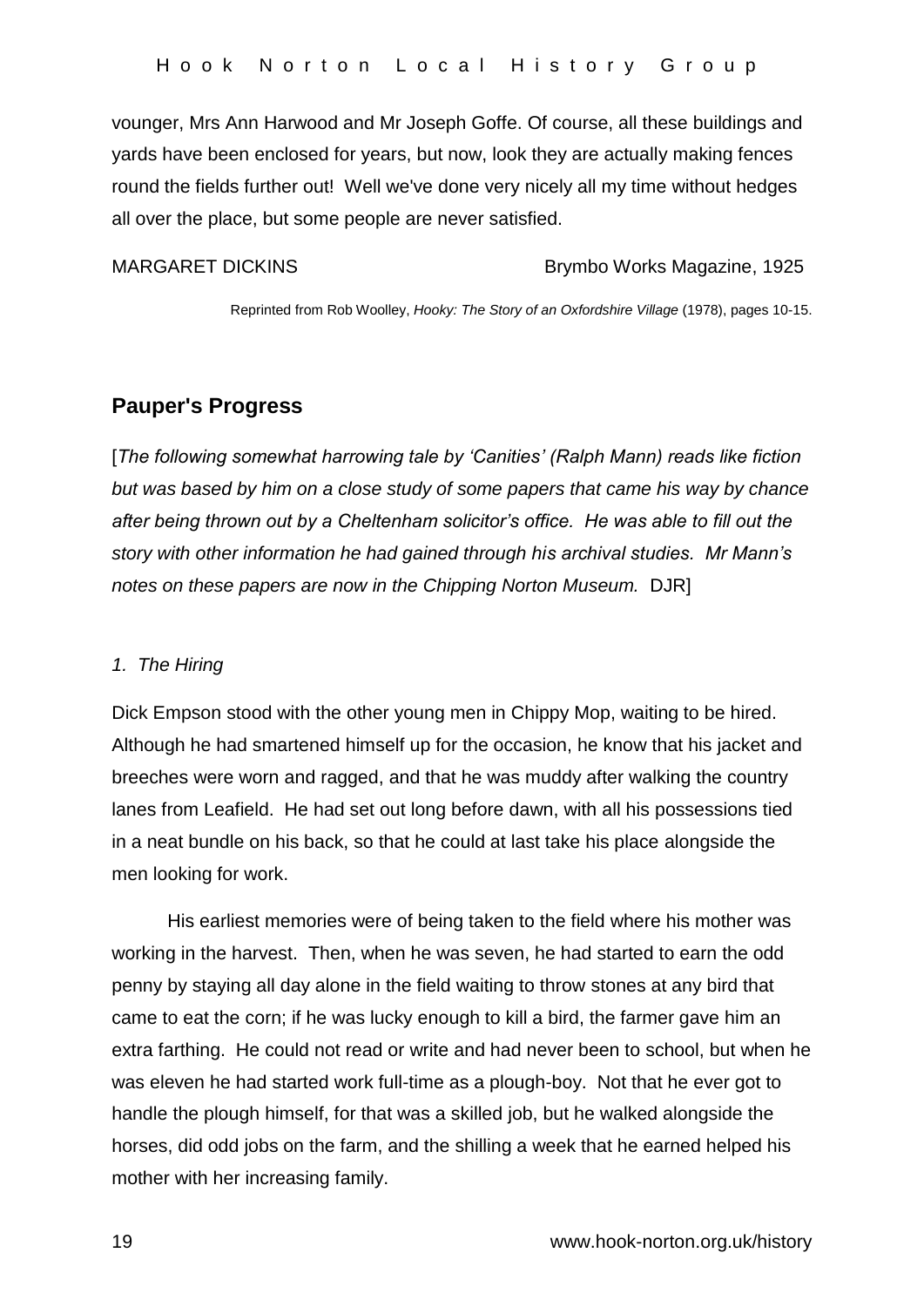vounger, Mrs Ann Harwood and Mr Joseph Goffe. Of course, all these buildings and yards have been enclosed for years, but now, look they are actually making fences round the fields further out! Well we've done very nicely all my time without hedges all over the place, but some people are never satisfied.

### MARGARET DICKINS Brymbo Works Magazine, 1925

Reprinted from Rob Woolley, *Hooky: The Story of an Oxfordshire Village* (1978), pages 10-15.

# **Pauper's Progress**

[*The following somewhat harrowing tale by 'Canities' (Ralph Mann) reads like fiction but was based by him on a close study of some papers that came his way by chance after being thrown out by a Cheltenham solicitor's office. He was able to fill out the story with other information he had gained through his archival studies. Mr Mann's notes on these papers are now in the Chipping Norton Museum.* DJR]

### *1. The Hiring*

Dick Empson stood with the other young men in Chippy Mop, waiting to be hired. Although he had smartened himself up for the occasion, he know that his jacket and breeches were worn and ragged, and that he was muddy after walking the country lanes from Leafield. He had set out long before dawn, with all his possessions tied in a neat bundle on his back, so that he could at last take his place alongside the men looking for work.

His earliest memories were of being taken to the field where his mother was working in the harvest. Then, when he was seven, he had started to earn the odd penny by staying all day alone in the field waiting to throw stones at any bird that came to eat the corn; if he was lucky enough to kill a bird, the farmer gave him an extra farthing. He could not read or write and had never been to school, but when he was eleven he had started work full-time as a plough-boy. Not that he ever got to handle the plough himself, for that was a skilled job, but he walked alongside the horses, did odd jobs on the farm, and the shilling a week that he earned helped his mother with her increasing family.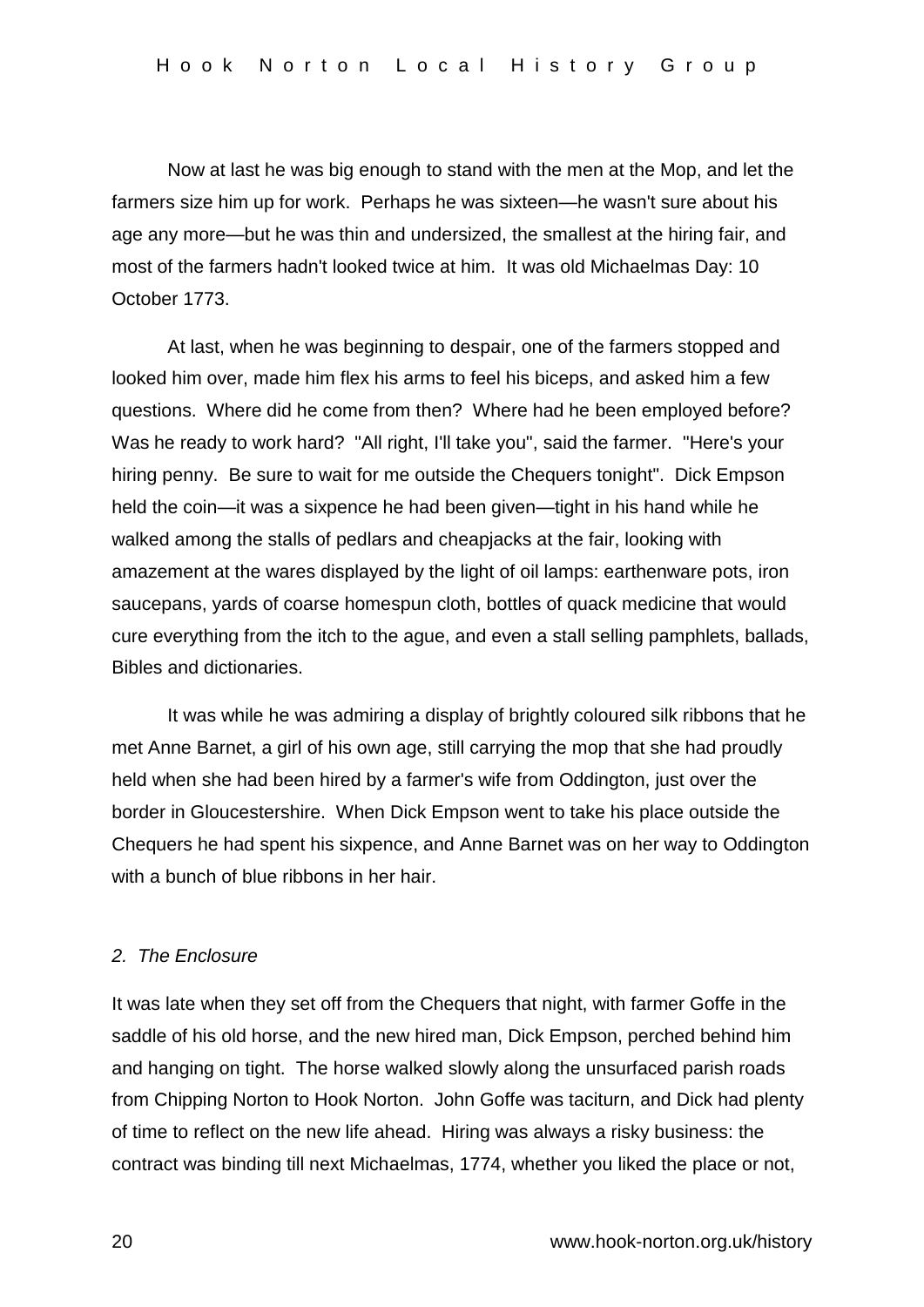Now at last he was big enough to stand with the men at the Mop, and let the farmers size him up for work. Perhaps he was sixteen—he wasn't sure about his age any more—but he was thin and undersized, the smallest at the hiring fair, and most of the farmers hadn't looked twice at him. It was old Michaelmas Day: 10 October 1773.

At last, when he was beginning to despair, one of the farmers stopped and looked him over, made him flex his arms to feel his biceps, and asked him a few questions. Where did he come from then? Where had he been employed before? Was he ready to work hard? "All right, I'll take you", said the farmer. "Here's your hiring penny. Be sure to wait for me outside the Chequers tonight". Dick Empson held the coin—it was a sixpence he had been given—tight in his hand while he walked among the stalls of pedlars and cheapjacks at the fair, looking with amazement at the wares displayed by the light of oil lamps: earthenware pots, iron saucepans, yards of coarse homespun cloth, bottles of quack medicine that would cure everything from the itch to the ague, and even a stall selling pamphlets, ballads, Bibles and dictionaries.

It was while he was admiring a display of brightly coloured silk ribbons that he met Anne Barnet, a girl of his own age, still carrying the mop that she had proudly held when she had been hired by a farmer's wife from Oddington, just over the border in Gloucestershire. When Dick Empson went to take his place outside the Chequers he had spent his sixpence, and Anne Barnet was on her way to Oddington with a bunch of blue ribbons in her hair.

### *2. The Enclosure*

It was late when they set off from the Chequers that night, with farmer Goffe in the saddle of his old horse, and the new hired man, Dick Empson, perched behind him and hanging on tight. The horse walked slowly along the unsurfaced parish roads from Chipping Norton to Hook Norton. John Goffe was taciturn, and Dick had plenty of time to reflect on the new life ahead. Hiring was always a risky business: the contract was binding till next Michaelmas, 1774, whether you liked the place or not,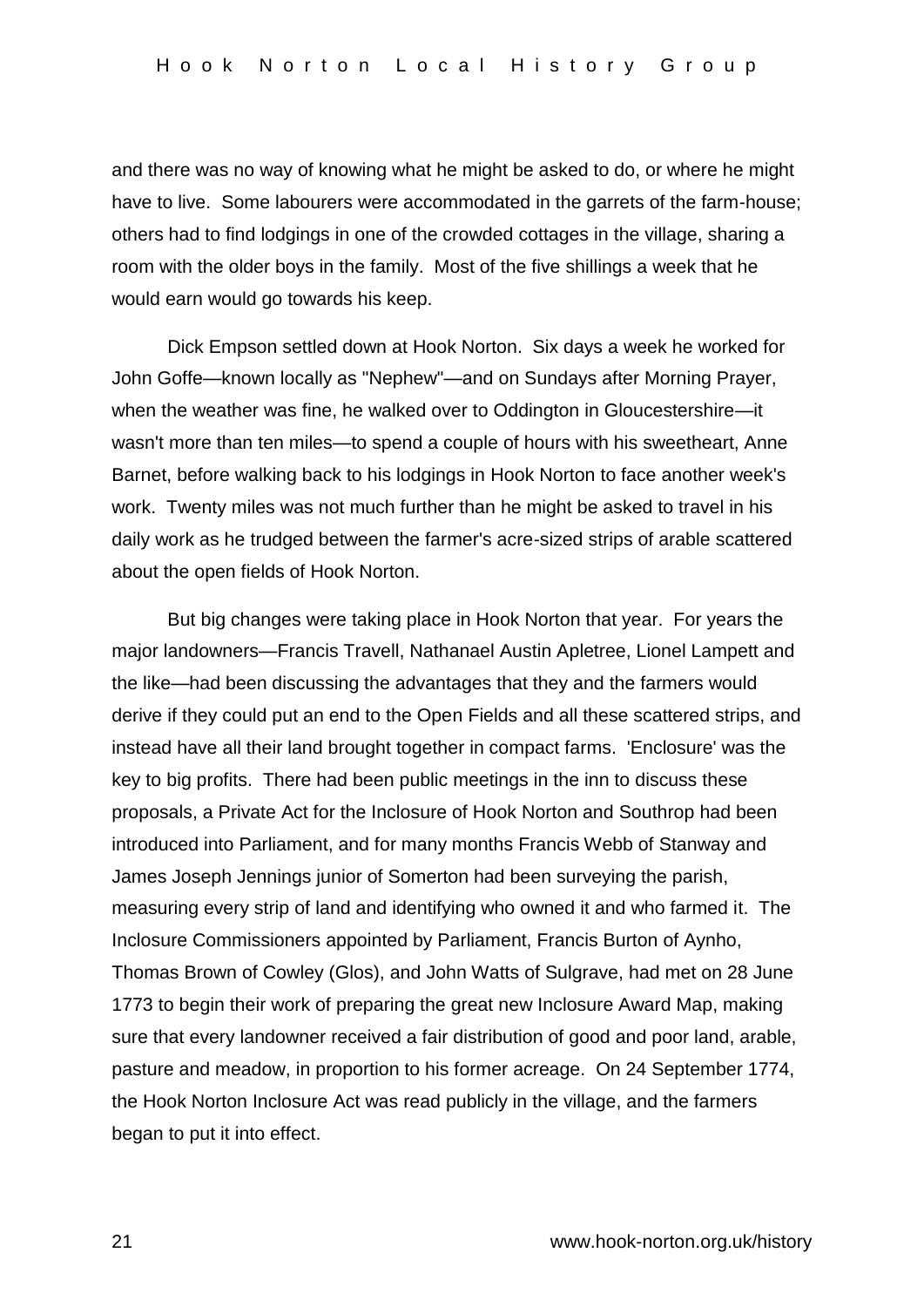and there was no way of knowing what he might be asked to do, or where he might have to live. Some labourers were accommodated in the garrets of the farm-house; others had to find lodgings in one of the crowded cottages in the village, sharing a room with the older boys in the family. Most of the five shillings a week that he would earn would go towards his keep.

Dick Empson settled down at Hook Norton. Six days a week he worked for John Goffe—known locally as "Nephew"—and on Sundays after Morning Prayer, when the weather was fine, he walked over to Oddington in Gloucestershire—it wasn't more than ten miles—to spend a couple of hours with his sweetheart, Anne Barnet, before walking back to his lodgings in Hook Norton to face another week's work. Twenty miles was not much further than he might be asked to travel in his daily work as he trudged between the farmer's acre-sized strips of arable scattered about the open fields of Hook Norton.

But big changes were taking place in Hook Norton that year. For years the major landowners—Francis Travell, Nathanael Austin Apletree, Lionel Lampett and the like—had been discussing the advantages that they and the farmers would derive if they could put an end to the Open Fields and all these scattered strips, and instead have all their land brought together in compact farms. 'Enclosure' was the key to big profits. There had been public meetings in the inn to discuss these proposals, a Private Act for the Inclosure of Hook Norton and Southrop had been introduced into Parliament, and for many months Francis Webb of Stanway and James Joseph Jennings junior of Somerton had been surveying the parish, measuring every strip of land and identifying who owned it and who farmed it. The Inclosure Commissioners appointed by Parliament, Francis Burton of Aynho, Thomas Brown of Cowley (Glos), and John Watts of Sulgrave, had met on 28 June 1773 to begin their work of preparing the great new Inclosure Award Map, making sure that every landowner received a fair distribution of good and poor land, arable, pasture and meadow, in proportion to his former acreage. On 24 September 1774, the Hook Norton Inclosure Act was read publicly in the village, and the farmers began to put it into effect.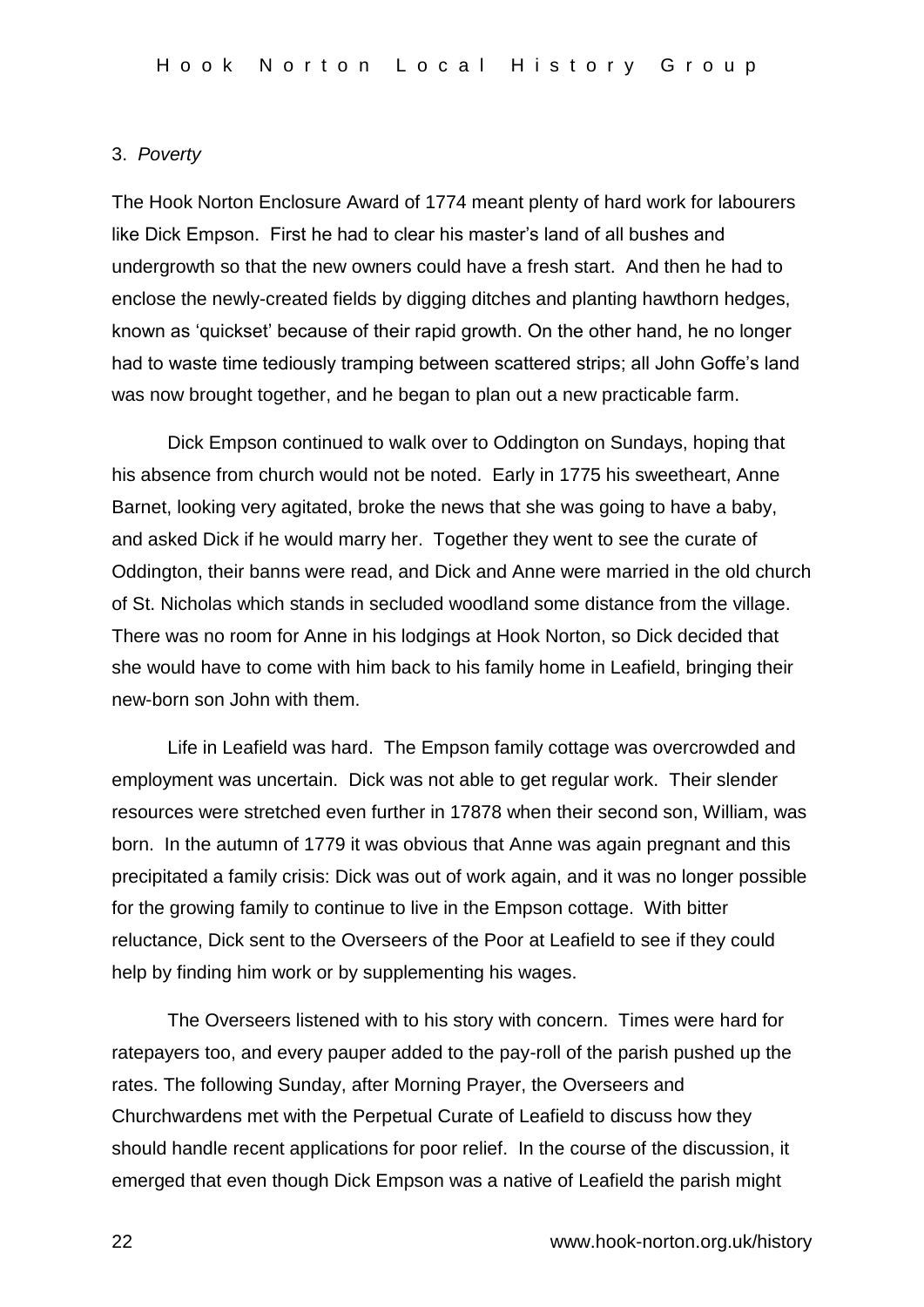### 3. *Poverty*

The Hook Norton Enclosure Award of 1774 meant plenty of hard work for labourers like Dick Empson. First he had to clear his master's land of all bushes and undergrowth so that the new owners could have a fresh start. And then he had to enclose the newly-created fields by digging ditches and planting hawthorn hedges, known as 'quickset' because of their rapid growth. On the other hand, he no longer had to waste time tediously tramping between scattered strips; all John Goffe's land was now brought together, and he began to plan out a new practicable farm.

Dick Empson continued to walk over to Oddington on Sundays, hoping that his absence from church would not be noted. Early in 1775 his sweetheart, Anne Barnet, looking very agitated, broke the news that she was going to have a baby, and asked Dick if he would marry her. Together they went to see the curate of Oddington, their banns were read, and Dick and Anne were married in the old church of St. Nicholas which stands in secluded woodland some distance from the village. There was no room for Anne in his lodgings at Hook Norton, so Dick decided that she would have to come with him back to his family home in Leafield, bringing their new-born son John with them.

Life in Leafield was hard. The Empson family cottage was overcrowded and employment was uncertain. Dick was not able to get regular work. Their slender resources were stretched even further in 17878 when their second son, William, was born. In the autumn of 1779 it was obvious that Anne was again pregnant and this precipitated a family crisis: Dick was out of work again, and it was no longer possible for the growing family to continue to live in the Empson cottage. With bitter reluctance, Dick sent to the Overseers of the Poor at Leafield to see if they could help by finding him work or by supplementing his wages.

The Overseers listened with to his story with concern. Times were hard for ratepayers too, and every pauper added to the pay-roll of the parish pushed up the rates. The following Sunday, after Morning Prayer, the Overseers and Churchwardens met with the Perpetual Curate of Leafield to discuss how they should handle recent applications for poor relief. In the course of the discussion, it emerged that even though Dick Empson was a native of Leafield the parish might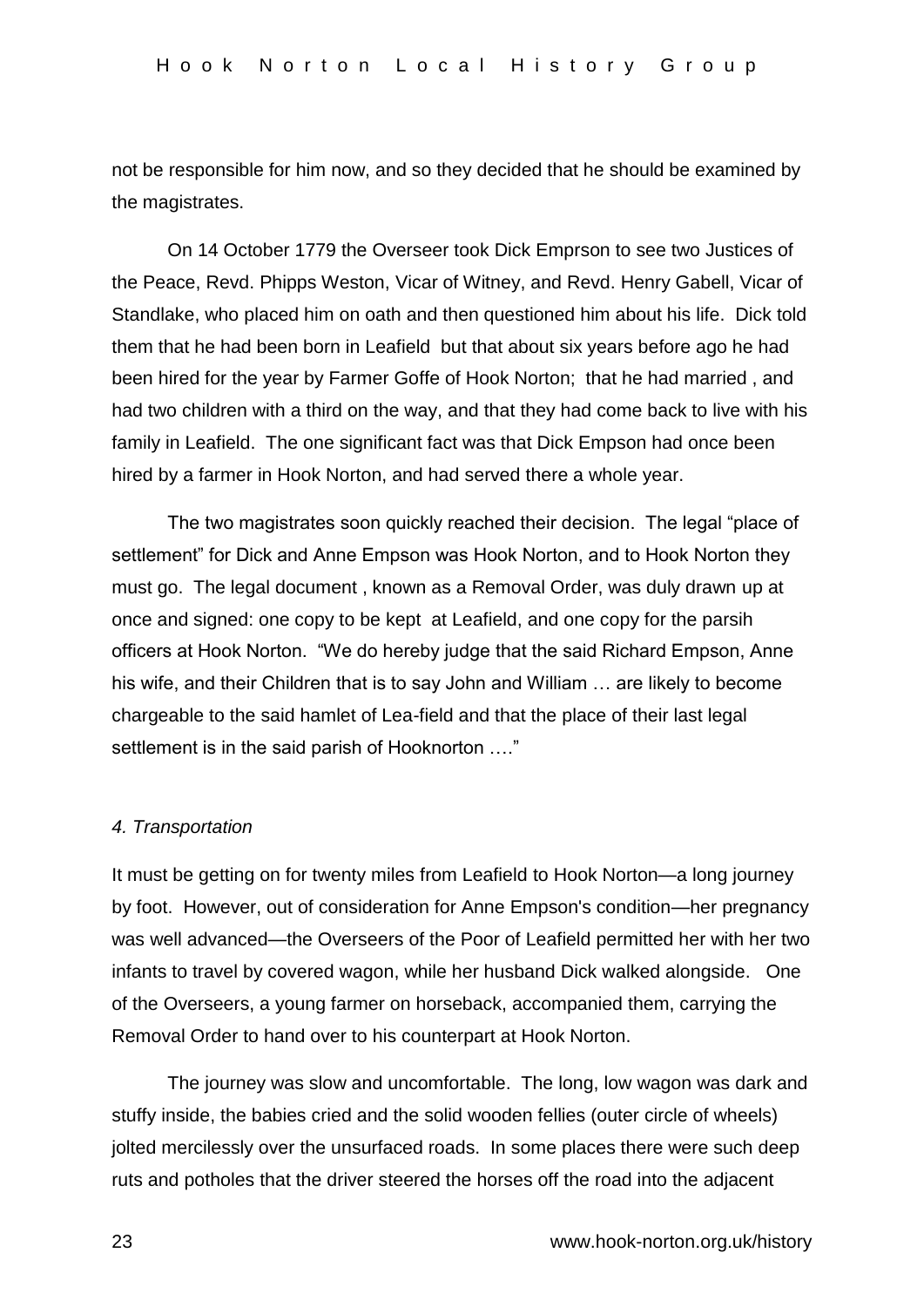not be responsible for him now, and so they decided that he should be examined by the magistrates.

On 14 October 1779 the Overseer took Dick Emprson to see two Justices of the Peace, Revd. Phipps Weston, Vicar of Witney, and Revd. Henry Gabell, Vicar of Standlake, who placed him on oath and then questioned him about his life. Dick told them that he had been born in Leafield but that about six years before ago he had been hired for the year by Farmer Goffe of Hook Norton; that he had married , and had two children with a third on the way, and that they had come back to live with his family in Leafield. The one significant fact was that Dick Empson had once been hired by a farmer in Hook Norton, and had served there a whole year.

The two magistrates soon quickly reached their decision. The legal "place of settlement" for Dick and Anne Empson was Hook Norton, and to Hook Norton they must go. The legal document , known as a Removal Order, was duly drawn up at once and signed: one copy to be kept at Leafield, and one copy for the parsih officers at Hook Norton. "We do hereby judge that the said Richard Empson, Anne his wife, and their Children that is to say John and William … are likely to become chargeable to the said hamlet of Lea-field and that the place of their last legal settlement is in the said parish of Hooknorton …."

### *4. Transportation*

It must be getting on for twenty miles from Leafield to Hook Norton—a long journey by foot. However, out of consideration for Anne Empson's condition—her pregnancy was well advanced—the Overseers of the Poor of Leafield permitted her with her two infants to travel by covered wagon, while her husband Dick walked alongside. One of the Overseers, a young farmer on horseback, accompanied them, carrying the Removal Order to hand over to his counterpart at Hook Norton.

The journey was slow and uncomfortable. The long, low wagon was dark and stuffy inside, the babies cried and the solid wooden fellies (outer circle of wheels) jolted mercilessly over the unsurfaced roads. In some places there were such deep ruts and potholes that the driver steered the horses off the road into the adjacent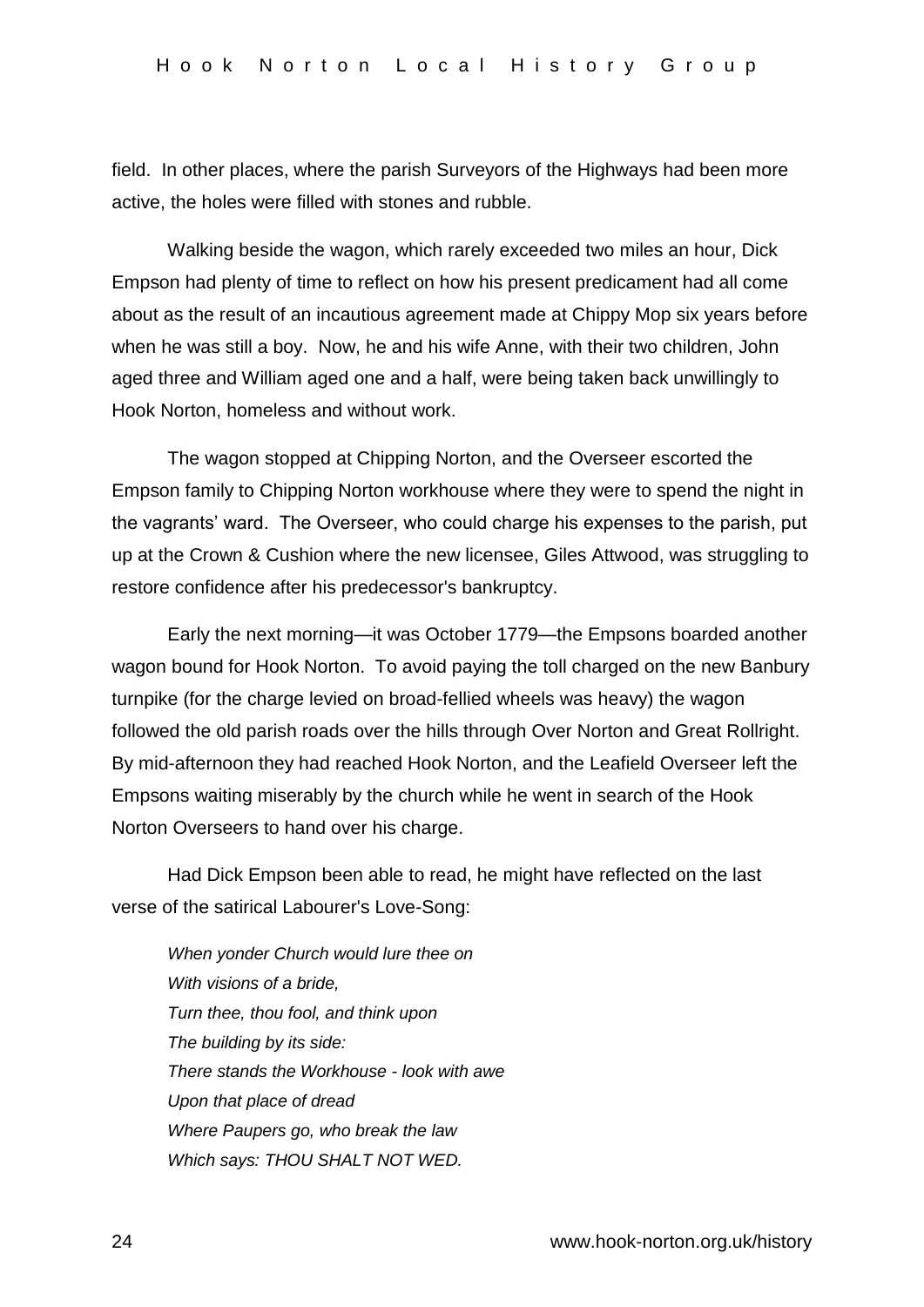field. In other places, where the parish Surveyors of the Highways had been more active, the holes were filled with stones and rubble.

Walking beside the wagon, which rarely exceeded two miles an hour, Dick Empson had plenty of time to reflect on how his present predicament had all come about as the result of an incautious agreement made at Chippy Mop six years before when he was still a boy. Now, he and his wife Anne, with their two children, John aged three and William aged one and a half, were being taken back unwillingly to Hook Norton, homeless and without work.

The wagon stopped at Chipping Norton, and the Overseer escorted the Empson family to Chipping Norton workhouse where they were to spend the night in the vagrants' ward. The Overseer, who could charge his expenses to the parish, put up at the Crown & Cushion where the new licensee, Giles Attwood, was struggling to restore confidence after his predecessor's bankruptcy.

Early the next morning—it was October 1779—the Empsons boarded another wagon bound for Hook Norton. To avoid paying the toll charged on the new Banbury turnpike (for the charge levied on broad-fellied wheels was heavy) the wagon followed the old parish roads over the hills through Over Norton and Great Rollright. By mid-afternoon they had reached Hook Norton, and the Leafield Overseer left the Empsons waiting miserably by the church while he went in search of the Hook Norton Overseers to hand over his charge.

Had Dick Empson been able to read, he might have reflected on the last verse of the satirical Labourer's Love-Song:

*When yonder Church would lure thee on With visions of a bride, Turn thee, thou fool, and think upon The building by its side: There stands the Workhouse - look with awe Upon that place of dread Where Paupers go, who break the law Which says: THOU SHALT NOT WED.*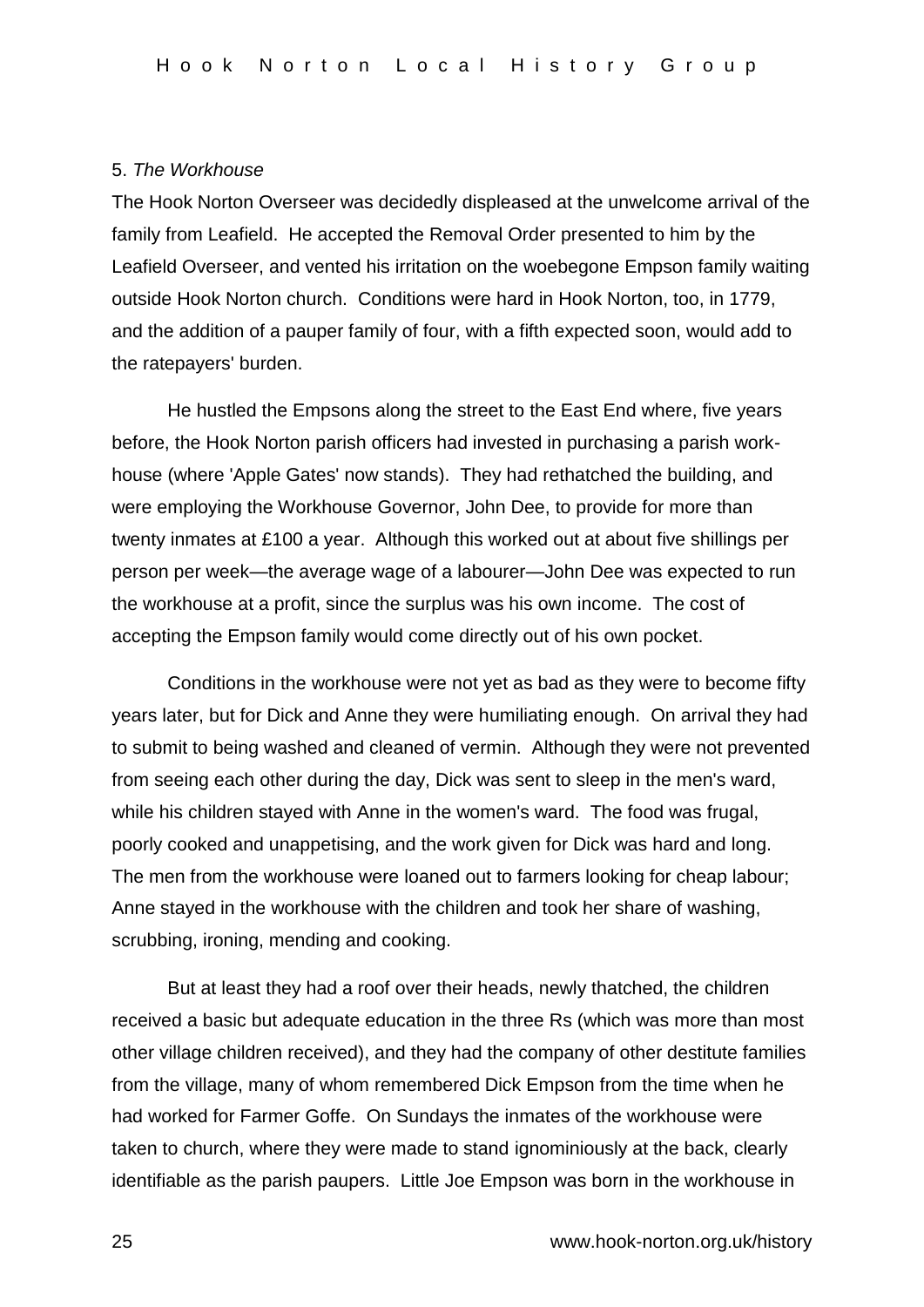### 5. *The Workhouse*

The Hook Norton Overseer was decidedly displeased at the unwelcome arrival of the family from Leafield. He accepted the Removal Order presented to him by the Leafield Overseer, and vented his irritation on the woebegone Empson family waiting outside Hook Norton church. Conditions were hard in Hook Norton, too, in 1779, and the addition of a pauper family of four, with a fifth expected soon, would add to the ratepayers' burden.

He hustled the Empsons along the street to the East End where, five years before, the Hook Norton parish officers had invested in purchasing a parish workhouse (where 'Apple Gates' now stands). They had rethatched the building, and were employing the Workhouse Governor, John Dee, to provide for more than twenty inmates at £100 a year. Although this worked out at about five shillings per person per week—the average wage of a labourer—John Dee was expected to run the workhouse at a profit, since the surplus was his own income. The cost of accepting the Empson family would come directly out of his own pocket.

Conditions in the workhouse were not yet as bad as they were to become fifty years later, but for Dick and Anne they were humiliating enough. On arrival they had to submit to being washed and cleaned of vermin. Although they were not prevented from seeing each other during the day, Dick was sent to sleep in the men's ward, while his children stayed with Anne in the women's ward. The food was frugal, poorly cooked and unappetising, and the work given for Dick was hard and long. The men from the workhouse were loaned out to farmers looking for cheap labour; Anne stayed in the workhouse with the children and took her share of washing, scrubbing, ironing, mending and cooking.

But at least they had a roof over their heads, newly thatched, the children received a basic but adequate education in the three Rs (which was more than most other village children received), and they had the company of other destitute families from the village, many of whom remembered Dick Empson from the time when he had worked for Farmer Goffe. On Sundays the inmates of the workhouse were taken to church, where they were made to stand ignominiously at the back, clearly identifiable as the parish paupers. Little Joe Empson was born in the workhouse in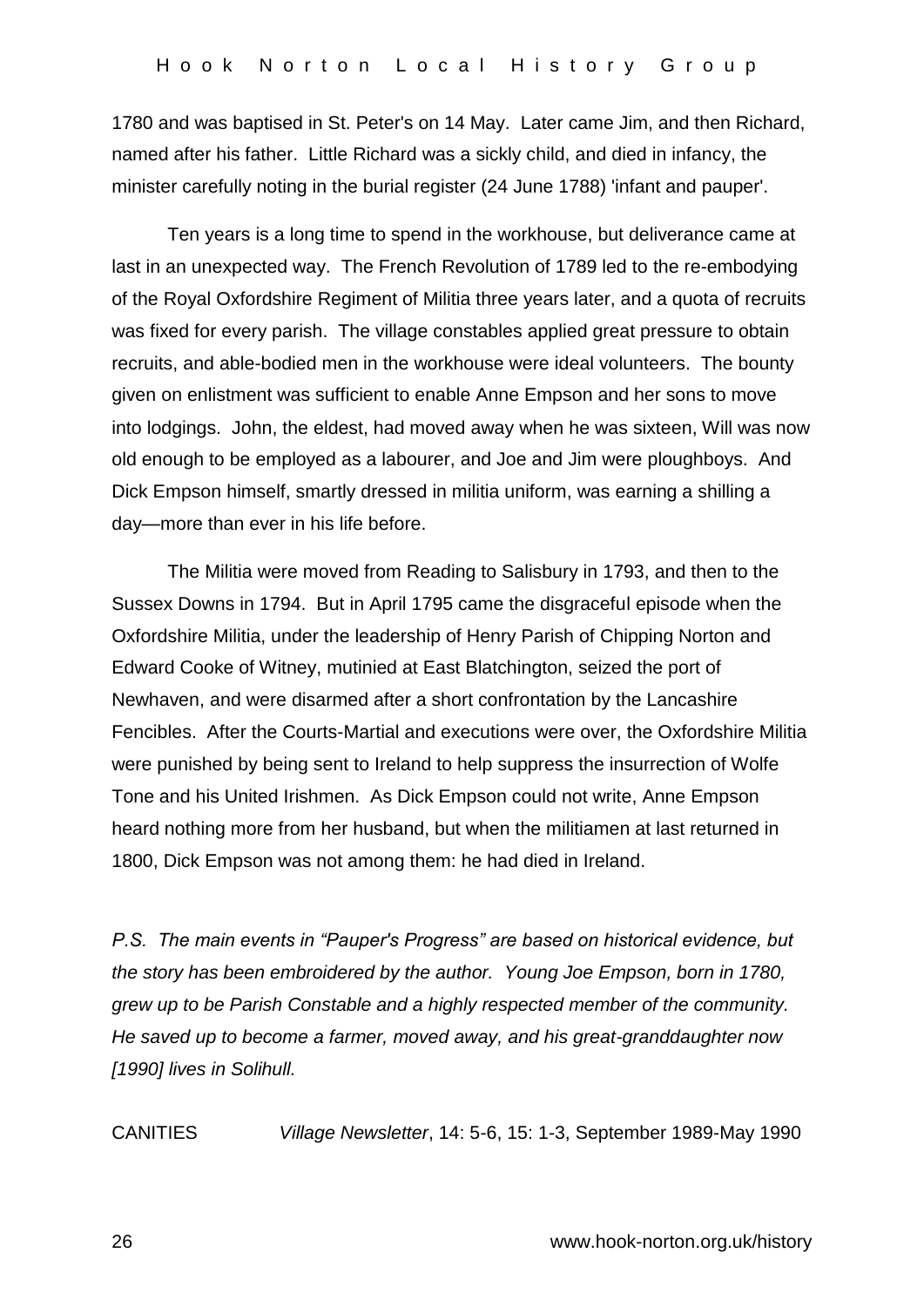1780 and was baptised in St. Peter's on 14 May. Later came Jim, and then Richard, named after his father. Little Richard was a sickly child, and died in infancy, the minister carefully noting in the burial register (24 June 1788) 'infant and pauper'.

Ten years is a long time to spend in the workhouse, but deliverance came at last in an unexpected way. The French Revolution of 1789 led to the re-embodying of the Royal Oxfordshire Regiment of Militia three years later, and a quota of recruits was fixed for every parish. The village constables applied great pressure to obtain recruits, and able-bodied men in the workhouse were ideal volunteers. The bounty given on enlistment was sufficient to enable Anne Empson and her sons to move into lodgings. John, the eldest, had moved away when he was sixteen, Will was now old enough to be employed as a labourer, and Joe and Jim were ploughboys. And Dick Empson himself, smartly dressed in militia uniform, was earning a shilling a day—more than ever in his life before.

The Militia were moved from Reading to Salisbury in 1793, and then to the Sussex Downs in 1794. But in April 1795 came the disgraceful episode when the Oxfordshire Militia, under the leadership of Henry Parish of Chipping Norton and Edward Cooke of Witney, mutinied at East Blatchington, seized the port of Newhaven, and were disarmed after a short confrontation by the Lancashire Fencibles. After the Courts-Martial and executions were over, the Oxfordshire Militia were punished by being sent to Ireland to help suppress the insurrection of Wolfe Tone and his United Irishmen. As Dick Empson could not write, Anne Empson heard nothing more from her husband, but when the militiamen at last returned in 1800, Dick Empson was not among them: he had died in Ireland.

*P.S. The main events in "Pauper's Progress" are based on historical evidence, but the story has been embroidered by the author. Young Joe Empson, born in 1780, grew up to be Parish Constable and a highly respected member of the community. He saved up to become a farmer, moved away, and his great-granddaughter now [1990] lives in Solihull.*

CANITIES *Village Newsletter*, 14: 5-6, 15: 1-3, September 1989-May 1990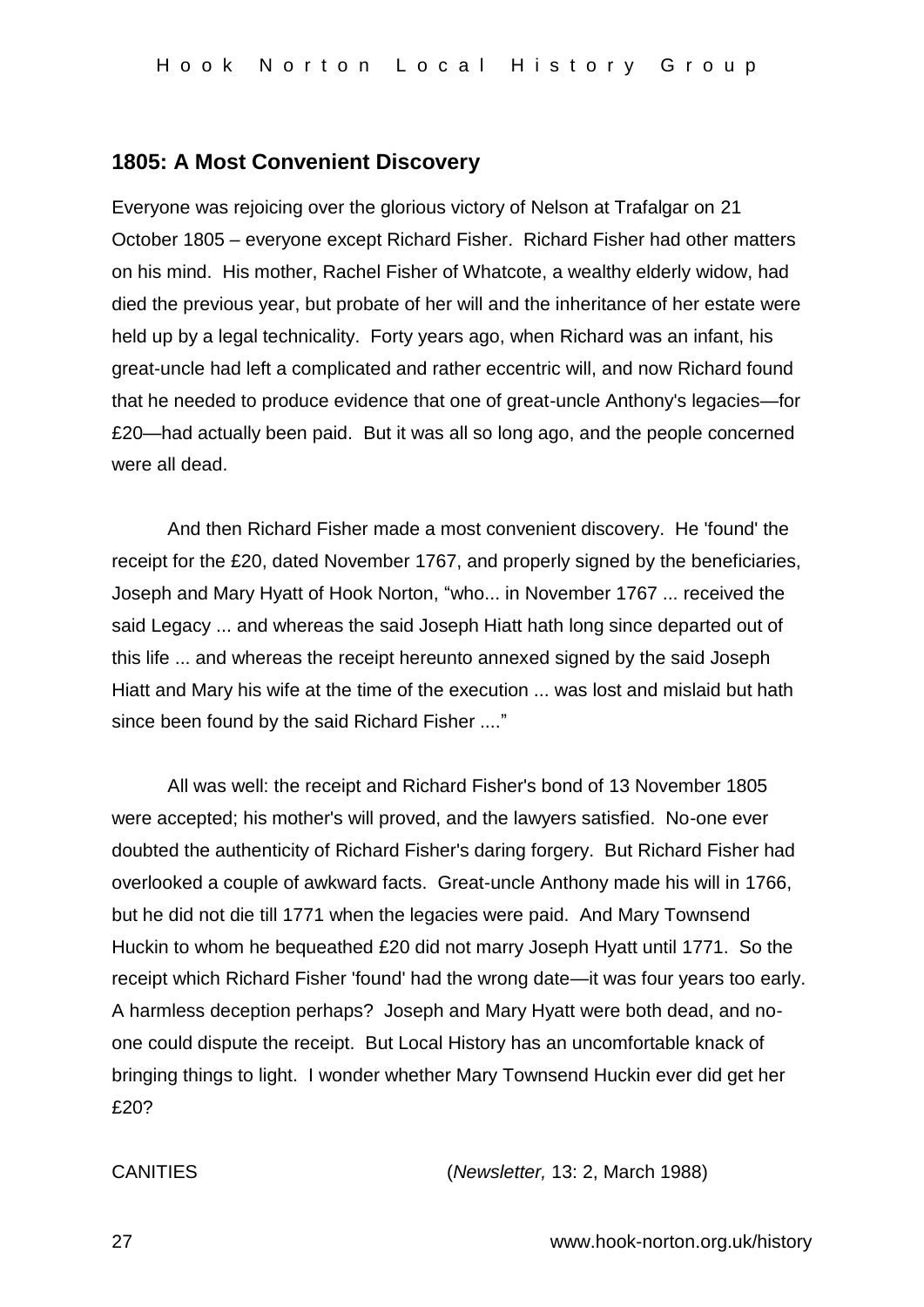### **1805: A Most Convenient Discovery**

Everyone was rejoicing over the glorious victory of Nelson at Trafalgar on 21 October 1805 – everyone except Richard Fisher. Richard Fisher had other matters on his mind. His mother, Rachel Fisher of Whatcote, a wealthy elderly widow, had died the previous year, but probate of her will and the inheritance of her estate were held up by a legal technicality. Forty years ago, when Richard was an infant, his great-uncle had left a complicated and rather eccentric will, and now Richard found that he needed to produce evidence that one of great-uncle Anthony's legacies—for £20—had actually been paid. But it was all so long ago, and the people concerned were all dead.

And then Richard Fisher made a most convenient discovery. He 'found' the receipt for the £20, dated November 1767, and properly signed by the beneficiaries, Joseph and Mary Hyatt of Hook Norton, "who... in November 1767 ... received the said Legacy ... and whereas the said Joseph Hiatt hath long since departed out of this life ... and whereas the receipt hereunto annexed signed by the said Joseph Hiatt and Mary his wife at the time of the execution ... was lost and mislaid but hath since been found by the said Richard Fisher ...."

All was well: the receipt and Richard Fisher's bond of 13 November 1805 were accepted; his mother's will proved, and the lawyers satisfied. No-one ever doubted the authenticity of Richard Fisher's daring forgery. But Richard Fisher had overlooked a couple of awkward facts. Great-uncle Anthony made his will in 1766, but he did not die till 1771 when the legacies were paid. And Mary Townsend Huckin to whom he bequeathed £20 did not marry Joseph Hyatt until 1771. So the receipt which Richard Fisher 'found' had the wrong date—it was four years too early. A harmless deception perhaps? Joseph and Mary Hyatt were both dead, and noone could dispute the receipt. But Local History has an uncomfortable knack of bringing things to light. I wonder whether Mary Townsend Huckin ever did get her £20?

CANITIES (*Newsletter,* 13: 2, March 1988)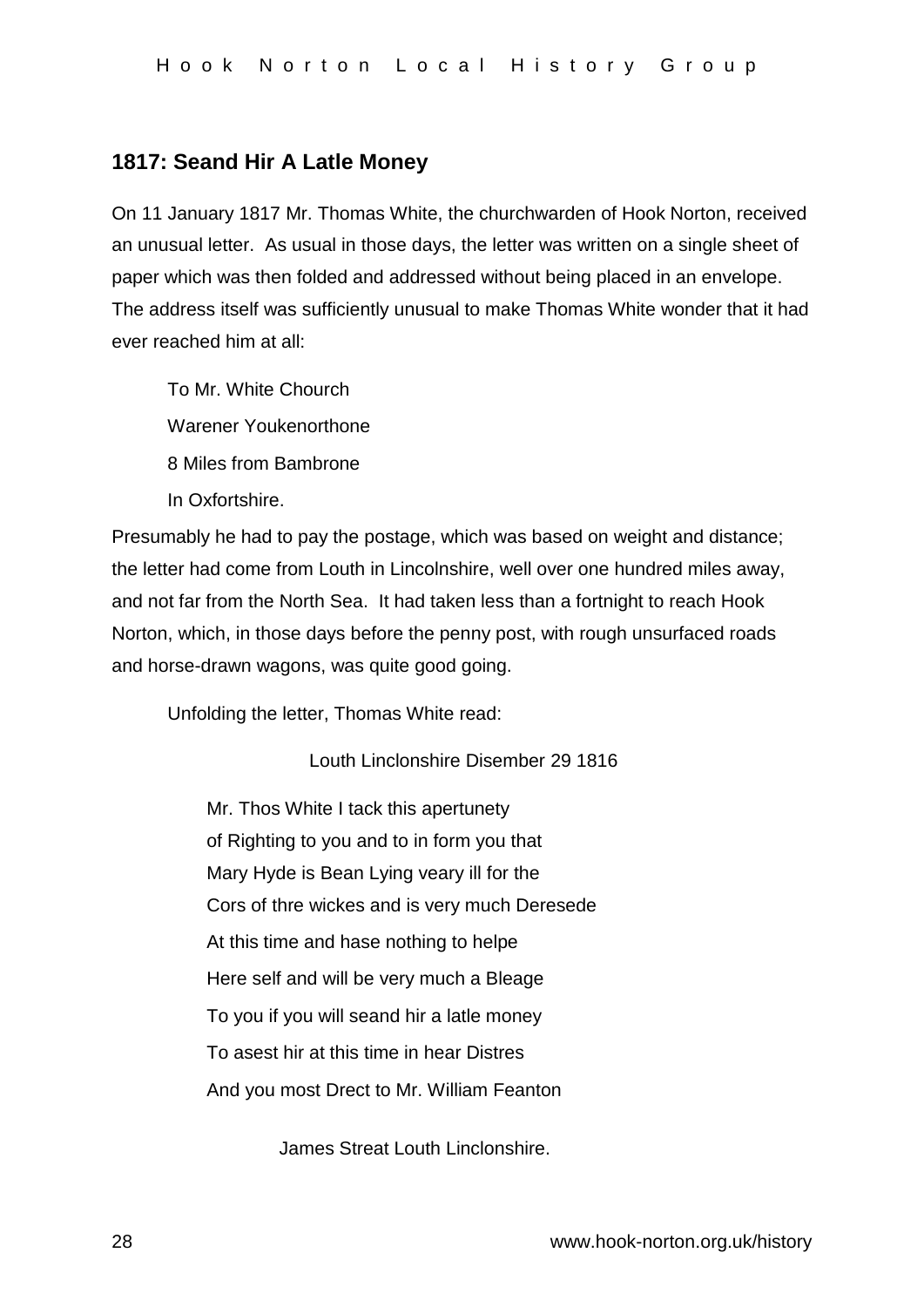## **1817: Seand Hir A Latle Money**

On 11 January 1817 Mr. Thomas White, the churchwarden of Hook Norton, received an unusual letter. As usual in those days, the letter was written on a single sheet of paper which was then folded and addressed without being placed in an envelope. The address itself was sufficiently unusual to make Thomas White wonder that it had ever reached him at all:

To Mr. White Chourch Warener Youkenorthone 8 Miles from Bambrone In Oxfortshire.

Presumably he had to pay the postage, which was based on weight and distance; the letter had come from Louth in Lincolnshire, well over one hundred miles away, and not far from the North Sea. It had taken less than a fortnight to reach Hook Norton, which, in those days before the penny post, with rough unsurfaced roads and horse-drawn wagons, was quite good going.

Unfolding the letter, Thomas White read:

Louth Linclonshire Disember 29 1816

Mr. Thos White I tack this apertunety of Righting to you and to in form you that Mary Hyde is Bean Lying veary ill for the Cors of thre wickes and is very much Deresede At this time and hase nothing to helpe Here self and will be very much a Bleage To you if you will seand hir a latle money To asest hir at this time in hear Distres And you most Drect to Mr. William Feanton

James Streat Louth Linclonshire.